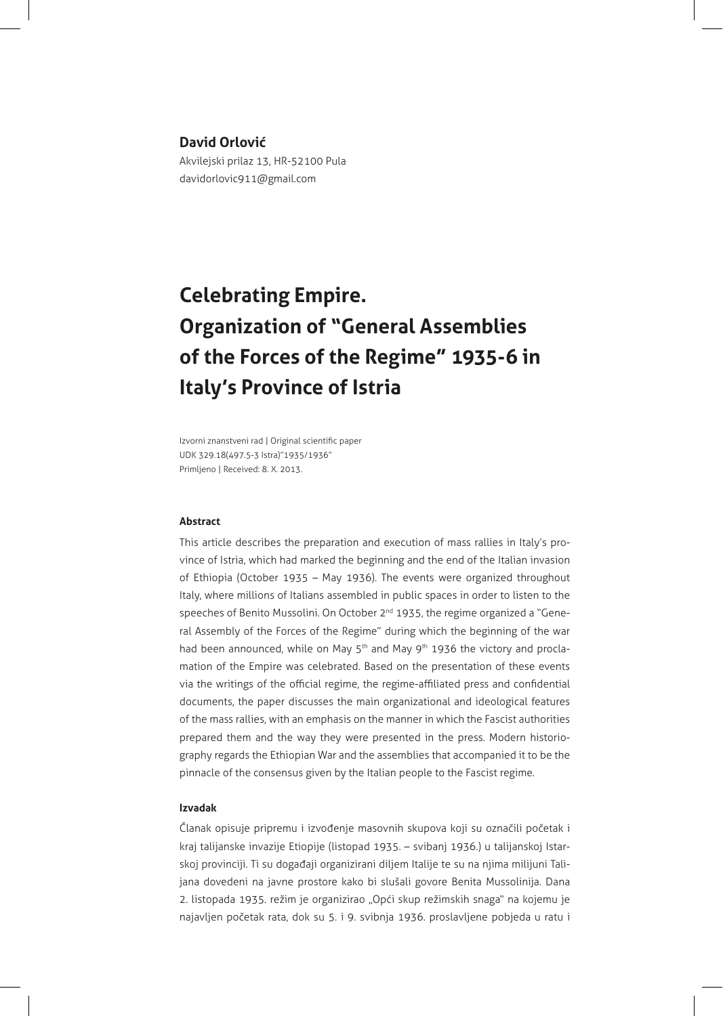## **David Orlović**

Akvilejski prilaz 13, HR-52100 Pula davidorlovic911@gmail.com

# **Celebrating Empire. Organization of "General Assemblies of the Forces of the Regime" 1935-6 in Italy's Province of Istria**

Izvorni znanstveni rad | Original scientific paper UDK 329.18(497.5-3 Istra)"1935/1936" Primljeno | Received: 8. X. 2013.

## **Abstract**

This article describes the preparation and execution of mass rallies in Italy's province of Istria, which had marked the beginning and the end of the Italian invasion of Ethiopia (October 1935 – May 1936). The events were organized throughout Italy, where millions of Italians assembled in public spaces in order to listen to the speeches of Benito Mussolini. On October 2<sup>nd</sup> 1935, the regime organized a "General Assembly of the Forces of the Regime" during which the beginning of the war had been announced, while on May 5<sup>th</sup> and May 9<sup>th</sup> 1936 the victory and proclamation of the Empire was celebrated. Based on the presentation of these events via the writings of the official regime, the regime-affiliated press and confidential documents, the paper discusses the main organizational and ideological features of the mass rallies, with an emphasis on the manner in which the Fascist authorities prepared them and the way they were presented in the press. Modern historiography regards the Ethiopian War and the assemblies that accompanied it to be the pinnacle of the consensus given by the Italian people to the Fascist regime.

#### **Izvadak**

Članak opisuje pripremu i izvođenje masovnih skupova koji su označili početak i kraj talijanske invazije Etiopije (listopad 1935. – svibanj 1936.) u talijanskoj Istarskoj provinciji. Ti su događaji organizirani diljem Italije te su na njima milijuni Talijana dovedeni na javne prostore kako bi slušali govore Benita Mussolinija. Dana 2. listopada 1935. režim je organizirao "Opći skup režimskih snaga" na kojemu je najavljen početak rata, dok su 5. i 9. svibnja 1936. proslavljene pobjeda u ratu i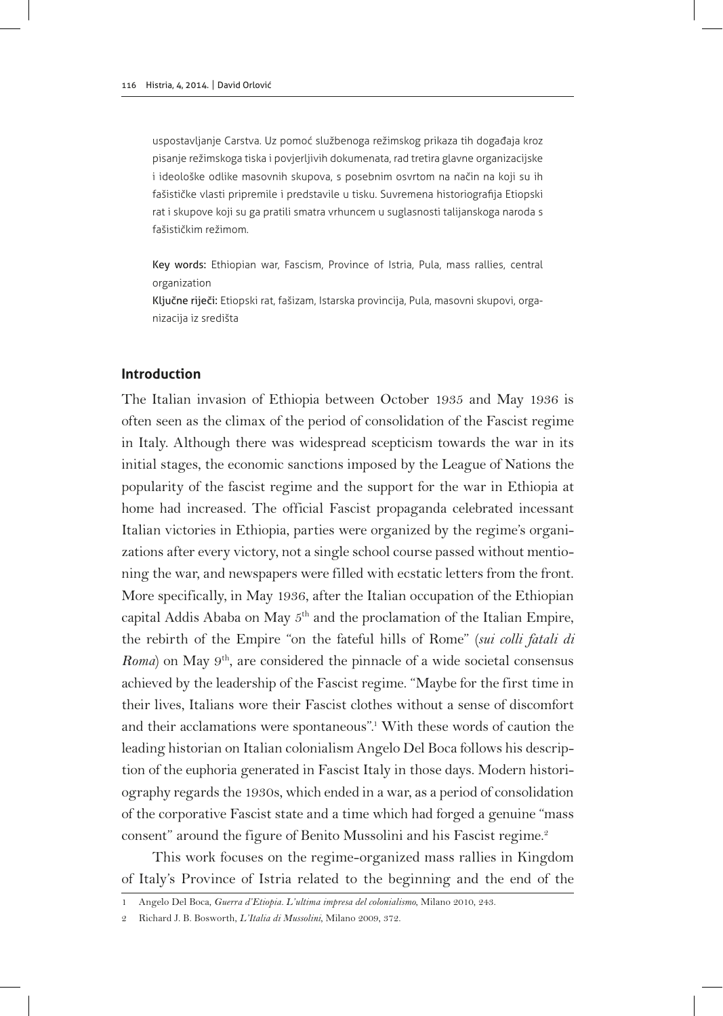uspostavljanje Carstva. Uz pomoć službenoga režimskog prikaza tih događaja kroz pisanje režimskoga tiska i povjerljivih dokumenata, rad tretira glavne organizacijske i ideološke odlike masovnih skupova, s posebnim osvrtom na način na koji su ih fašističke vlasti pripremile i predstavile u tisku. Suvremena historiografija Etiopski rat i skupove koji su ga pratili smatra vrhuncem u suglasnosti talijanskoga naroda s fašističkim režimom.

Key words: Ethiopian war, Fascism, Province of Istria, Pula, mass rallies, central organization

Ključne riječi: Etiopski rat, fašizam, Istarska provincija, Pula, masovni skupovi, organizacija iz središta

## **Introduction**

The Italian invasion of Ethiopia between October 1935 and May 1936 is often seen as the climax of the period of consolidation of the Fascist regime in Italy. Although there was widespread scepticism towards the war in its initial stages, the economic sanctions imposed by the League of Nations the popularity of the fascist regime and the support for the war in Ethiopia at home had increased. The official Fascist propaganda celebrated incessant Italian victories in Ethiopia, parties were organized by the regime's organizations after every victory, not a single school course passed without mentioning the war, and newspapers were filled with ecstatic letters from the front. More specifically, in May 1936, after the Italian occupation of the Ethiopian capital Addis Ababa on May  $5<sup>th</sup>$  and the proclamation of the Italian Empire, the rebirth of the Empire "on the fateful hills of Rome" (*sui colli fatali di Roma*) on May 9<sup>th</sup>, are considered the pinnacle of a wide societal consensus achieved by the leadership of the Fascist regime. "Maybe for the first time in their lives, Italians wore their Fascist clothes without a sense of discomfort and their acclamations were spontaneous".<sup>1</sup> With these words of caution the leading historian on Italian colonialism Angelo Del Boca follows his description of the euphoria generated in Fascist Italy in those days. Modern historiography regards the 1930s, which ended in a war, as a period of consolidation of the corporative Fascist state and a time which had forged a genuine "mass consent" around the figure of Benito Mussolini and his Fascist regime.<sup>2</sup>

This work focuses on the regime-organized mass rallies in Kingdom of Italy's Province of Istria related to the beginning and the end of the

<sup>1</sup> Angelo Del Boca, *Guerra d'Etiopia. L'ultima impresa del colonialismo*, Milano 2010, 243.

<sup>2</sup> Richard J. B. Bosworth, *L'Italia di Mussolini*, Milano 2009, 372.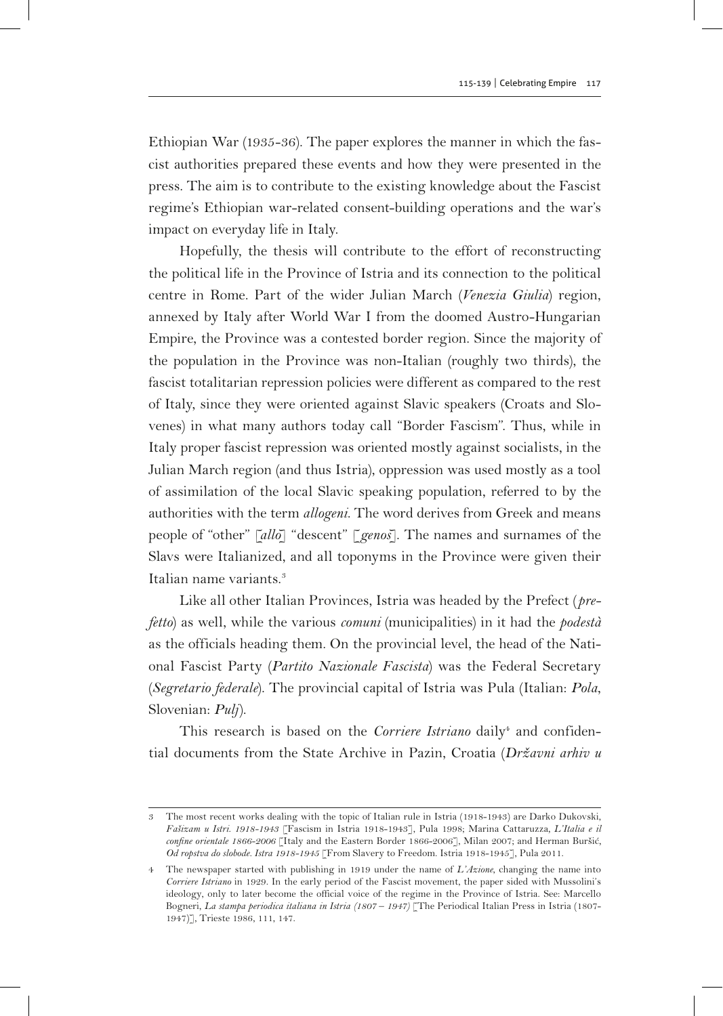Ethiopian War (1935-36). The paper explores the manner in which the fascist authorities prepared these events and how they were presented in the press. The aim is to contribute to the existing knowledge about the Fascist regime's Ethiopian war-related consent-building operations and the war's impact on everyday life in Italy.

Hopefully, the thesis will contribute to the effort of reconstructing the political life in the Province of Istria and its connection to the political centre in Rome. Part of the wider Julian March (*Venezia Giulia*) region, annexed by Italy after World War I from the doomed Austro-Hungarian Empire, the Province was a contested border region. Since the majority of the population in the Province was non-Italian (roughly two thirds), the fascist totalitarian repression policies were different as compared to the rest of Italy, since they were oriented against Slavic speakers (Croats and Slovenes) in what many authors today call "Border Fascism". Thus, while in Italy proper fascist repression was oriented mostly against socialists, in the Julian March region (and thus Istria), oppression was used mostly as a tool of assimilation of the local Slavic speaking population, referred to by the authorities with the term *allogeni*. The word derives from Greek and means people of "other" [*allo*] "descent" [*genos*]. The names and surnames of the Slavs were Italianized, and all toponyms in the Province were given their Italian name variants.<sup>3</sup>

Like all other Italian Provinces, Istria was headed by the Prefect (*prefetto*) as well, while the various *comuni* (municipalities) in it had the *podestà* as the officials heading them. On the provincial level, the head of the National Fascist Party (*Partito Nazionale Fascista*) was the Federal Secretary (*Segretario federale*). The provincial capital of Istria was Pula (Italian: *Pola*, Slovenian: *Pulj*).

This research is based on the *Corriere Istriano* daily<sup>4</sup> and confidential documents from the State Archive in Pazin, Croatia (*Državni arhiv u* 

<sup>3</sup> The most recent works dealing with the topic of Italian rule in Istria (1918-1943) are Darko Dukovski, *Fašizam u Istri. 1918-1943* [Fascism in Istria 1918-1943], Pula 1998; Marina Cattaruzza*, L'Italia e il confine orientale 1866-2006* [Italy and the Eastern Border 1866-2006], Milan 2007; and Herman Buršić*, Od ropstva do slobode. Istra 1918-1945* [From Slavery to Freedom. Istria 1918-1945], Pula 2011.

<sup>4</sup> The newspaper started with publishing in 1919 under the name of *L'Azione*, changing the name into *Corriere Istriano* in 1929. In the early period of the Fascist movement, the paper sided with Mussolini's ideology, only to later become the official voice of the regime in the Province of Istria. See: Marcello Bogneri, *La stampa periodica italiana in Istria (1807 – 1947)* [The Periodical Italian Press in Istria (1807- 1947)], Trieste 1986, 111, 147.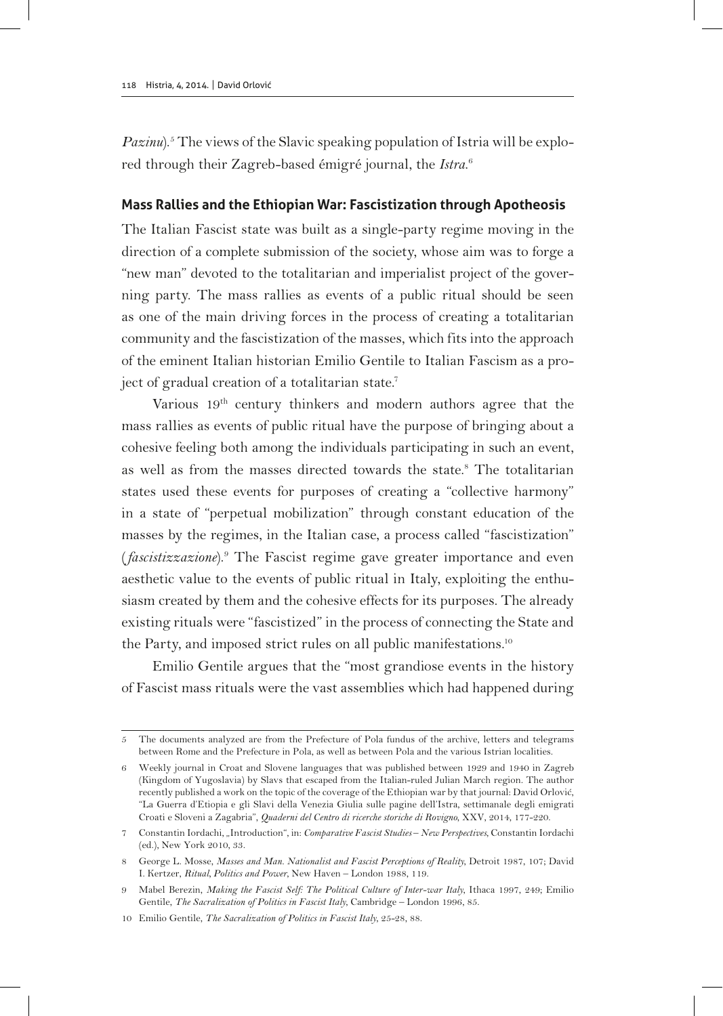Pazinu).<sup>5</sup> The views of the Slavic speaking population of Istria will be explored through their Zagreb-based émigré journal, the *Istra*. 6

## **Mass Rallies and the Ethiopian War: Fascistization through Apotheosis**

The Italian Fascist state was built as a single-party regime moving in the direction of a complete submission of the society, whose aim was to forge a "new man" devoted to the totalitarian and imperialist project of the governing party. The mass rallies as events of a public ritual should be seen as one of the main driving forces in the process of creating a totalitarian community and the fascistization of the masses, which fits into the approach of the eminent Italian historian Emilio Gentile to Italian Fascism as a project of gradual creation of a totalitarian state.<sup>7</sup>

Various 19th century thinkers and modern authors agree that the mass rallies as events of public ritual have the purpose of bringing about a cohesive feeling both among the individuals participating in such an event, as well as from the masses directed towards the state.<sup>8</sup> The totalitarian states used these events for purposes of creating a "collective harmony" in a state of "perpetual mobilization" through constant education of the masses by the regimes, in the Italian case, a process called "fascistization" (*fascistizzazione*).9 The Fascist regime gave greater importance and even aesthetic value to the events of public ritual in Italy, exploiting the enthusiasm created by them and the cohesive effects for its purposes. The already existing rituals were "fascistized" in the process of connecting the State and the Party, and imposed strict rules on all public manifestations.<sup>10</sup>

Emilio Gentile argues that the "most grandiose events in the history of Fascist mass rituals were the vast assemblies which had happened during

<sup>5</sup> The documents analyzed are from the Prefecture of Pola fundus of the archive, letters and telegrams between Rome and the Prefecture in Pola, as well as between Pola and the various Istrian localities.

<sup>6</sup> Weekly journal in Croat and Slovene languages that was published between 1929 and 1940 in Zagreb (Kingdom of Yugoslavia) by Slavs that escaped from the Italian-ruled Julian March region. The author recently published a work on the topic of the coverage of the Ethiopian war by that journal: David Orlović, "La Guerra d'Etiopia e gli Slavi della Venezia Giulia sulle pagine dell'Istra, settimanale degli emigrati Croati e Sloveni a Zagabria", *Quaderni del Centro di ricerche storiche di Rovigno*, XXV, 2014, 177-220.

<sup>7</sup> Constantin Iordachi, "Introduction", in: *Comparative Fascist Studies – New Perspectives*, Constantin Iordachi (ed.), New York 2010, 33.

<sup>8</sup> George L. Mosse, *Masses and Man. Nationalist and Fascist Perceptions of Reality*, Detroit 1987, 107; David I. Kertzer, *Ritual, Politics and Power*, New Haven – London 1988, 119.

<sup>9</sup> Mabel Berezin, *Making the Fascist Self: The Political Culture of Inter-war Italy*, Ithaca 1997, 249; Emilio Gentile, *The Sacralization of Politics in Fascist Italy*, Cambridge – London 1996, 85.

<sup>10</sup> Emilio Gentile, *The Sacralization of Politics in Fascist Italy*, 25-28, 88.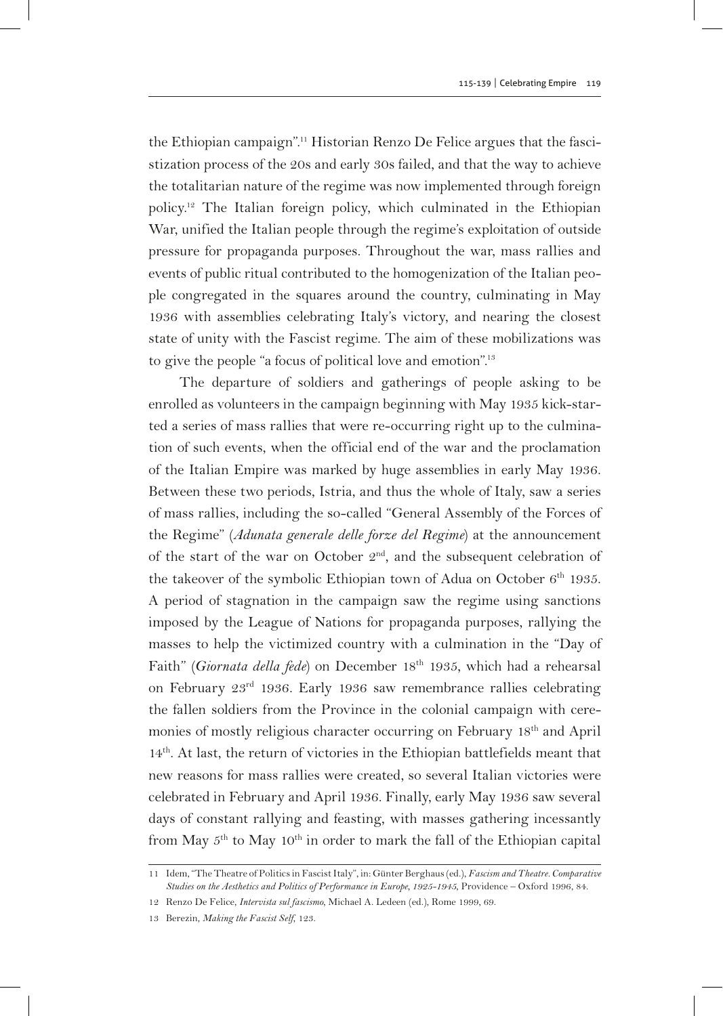the Ethiopian campaign".11 Historian Renzo De Felice argues that the fascistization process of the 20s and early 30s failed, and that the way to achieve the totalitarian nature of the regime was now implemented through foreign policy.12 The Italian foreign policy, which culminated in the Ethiopian War, unified the Italian people through the regime's exploitation of outside pressure for propaganda purposes. Throughout the war, mass rallies and events of public ritual contributed to the homogenization of the Italian people congregated in the squares around the country, culminating in May 1936 with assemblies celebrating Italy's victory, and nearing the closest state of unity with the Fascist regime. The aim of these mobilizations was to give the people "a focus of political love and emotion".<sup>13</sup>

The departure of soldiers and gatherings of people asking to be enrolled as volunteers in the campaign beginning with May 1935 kick-started a series of mass rallies that were re-occurring right up to the culmination of such events, when the official end of the war and the proclamation of the Italian Empire was marked by huge assemblies in early May 1936. Between these two periods, Istria, and thus the whole of Italy, saw a series of mass rallies, including the so-called "General Assembly of the Forces of the Regime" (*Adunata generale delle forze del Regime*) at the announcement of the start of the war on October  $2<sup>nd</sup>$ , and the subsequent celebration of the takeover of the symbolic Ethiopian town of Adua on October  $6<sup>th</sup>$  1935. A period of stagnation in the campaign saw the regime using sanctions imposed by the League of Nations for propaganda purposes, rallying the masses to help the victimized country with a culmination in the "Day of Faith" (*Giornata della fede*) on December 18<sup>th</sup> 1935, which had a rehearsal on February 23rd 1936. Early 1936 saw remembrance rallies celebrating the fallen soldiers from the Province in the colonial campaign with ceremonies of mostly religious character occurring on February 18th and April 14th. At last, the return of victories in the Ethiopian battlefields meant that new reasons for mass rallies were created, so several Italian victories were celebrated in February and April 1936. Finally, early May 1936 saw several days of constant rallying and feasting, with masses gathering incessantly from May 5<sup>th</sup> to May 10<sup>th</sup> in order to mark the fall of the Ethiopian capital

13 Berezin, *Making the Fascist Self*, 123.

<sup>11</sup> Idem, "The Theatre of Politics in Fascist Italy", in: Günter Berghaus (ed.), *Fascism and Theatre. Comparative Studies on the Aesthetics and Politics of Performance in Europe, 1925-1945*, Providence – Oxford 1996, 84.

<sup>12</sup> Renzo De Felice, *Intervista sul fascismo*, Michael A. Ledeen (ed.), Rome 1999, 69.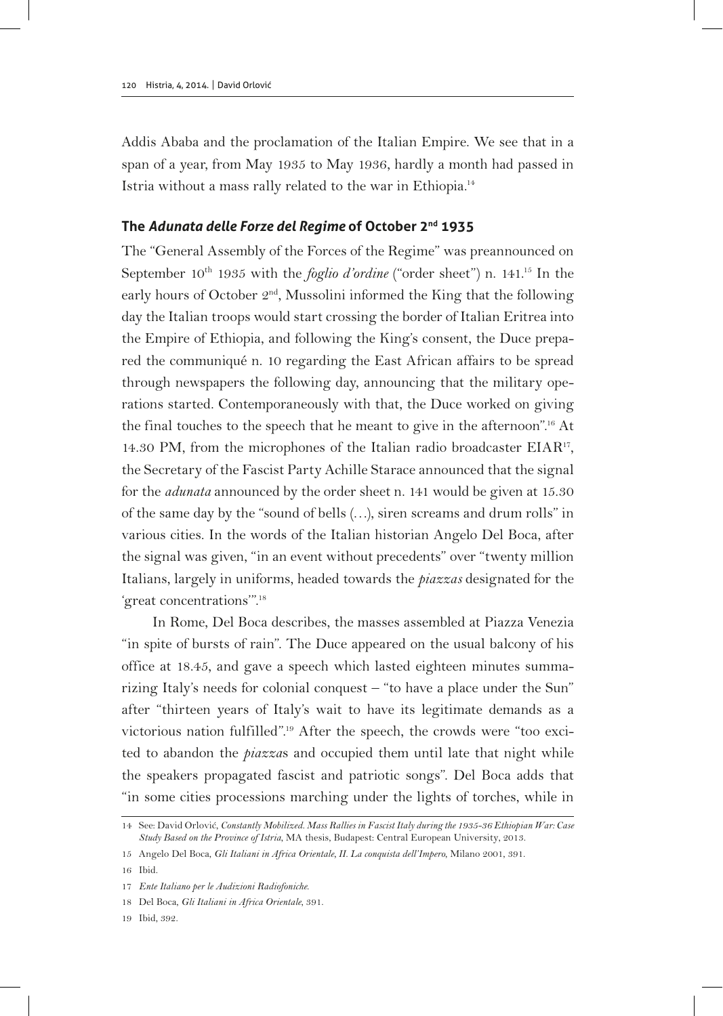Addis Ababa and the proclamation of the Italian Empire. We see that in a span of a year, from May 1935 to May 1936, hardly a month had passed in Istria without a mass rally related to the war in Ethiopia.14

## **The** *Adunata delle Forze del Regime* **of October 2nd 1935**

The "General Assembly of the Forces of the Regime" was preannounced on September 10<sup>th</sup> 1935 with the *foglio d'ordine* ("order sheet") n. 141.<sup>15</sup> In the early hours of October  $2<sup>nd</sup>$ , Mussolini informed the King that the following day the Italian troops would start crossing the border of Italian Eritrea into the Empire of Ethiopia, and following the King's consent, the Duce prepared the communiqué n. 10 regarding the East African affairs to be spread through newspapers the following day, announcing that the military operations started. Contemporaneously with that, the Duce worked on giving the final touches to the speech that he meant to give in the afternoon".16 At 14.30 PM, from the microphones of the Italian radio broadcaster EIAR<sup>17</sup>, the Secretary of the Fascist Party Achille Starace announced that the signal for the *adunata* announced by the order sheet n. 141 would be given at 15.30 of the same day by the "sound of bells (…), siren screams and drum rolls" in various cities. In the words of the Italian historian Angelo Del Boca, after the signal was given, "in an event without precedents" over "twenty million Italians, largely in uniforms, headed towards the *piazzas* designated for the 'great concentrations'".18

In Rome, Del Boca describes, the masses assembled at Piazza Venezia "in spite of bursts of rain". The Duce appeared on the usual balcony of his office at 18.45, and gave a speech which lasted eighteen minutes summarizing Italy's needs for colonial conquest – "to have a place under the Sun" after "thirteen years of Italy's wait to have its legitimate demands as a victorious nation fulfilled".19 After the speech, the crowds were "too excited to abandon the *piazza*s and occupied them until late that night while the speakers propagated fascist and patriotic songs". Del Boca adds that "in some cities processions marching under the lights of torches, while in

19 Ibid, 392.

<sup>14</sup> See: David Orlović, *Constantly Mobilized. Mass Rallies in Fascist Italy during the 1935-36 Ethiopian War: Case Study Based on the Province of Istria*, MA thesis, Budapest: Central European University, 2013.

<sup>15</sup> Angelo Del Boca, *Gli Italiani in Africa Orientale, II. La conquista dell'Impero*, Milano 2001, 391.

<sup>16</sup> Ibid.

<sup>17</sup> *Ente Italiano per le Audizioni Radiofoniche*.

<sup>18</sup> Del Boca, *Gli Italiani in Africa Orientale*, 391.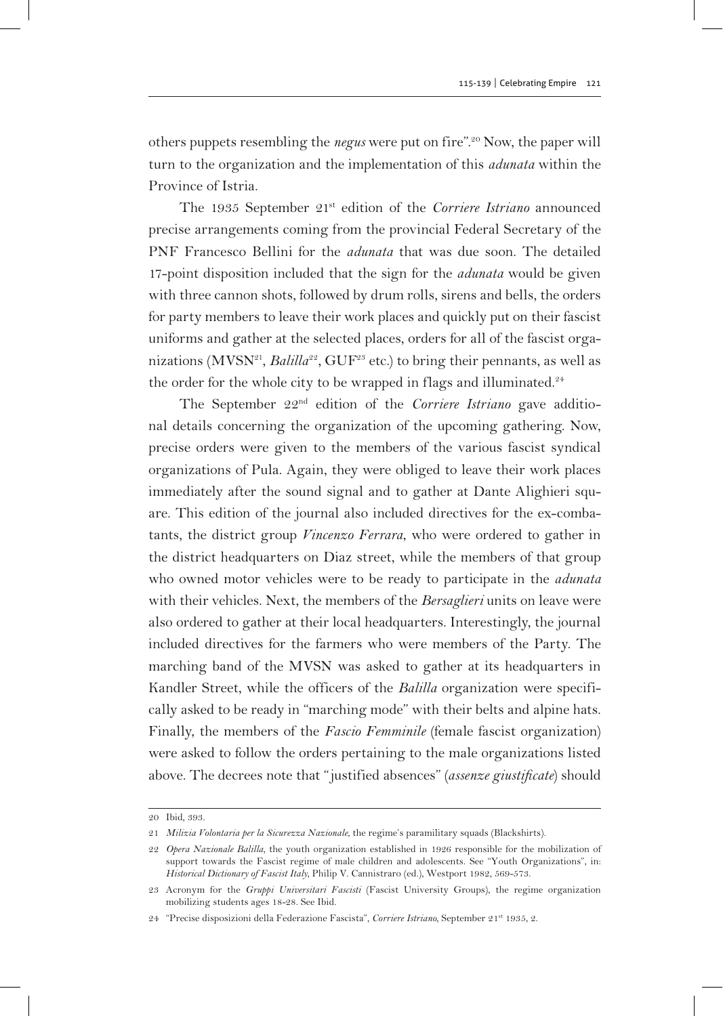others puppets resembling the *negus* were put on fire".20 Now, the paper will turn to the organization and the implementation of this *adunata* within the Province of Istria.

The 1935 September 21<sup>st</sup> edition of the *Corriere Istriano* announced precise arrangements coming from the provincial Federal Secretary of the PNF Francesco Bellini for the *adunata* that was due soon. The detailed 17-point disposition included that the sign for the *adunata* would be given with three cannon shots, followed by drum rolls, sirens and bells, the orders for party members to leave their work places and quickly put on their fascist uniforms and gather at the selected places, orders for all of the fascist organizations (MVSN<sup>21</sup>, *Balilla*<sup>22</sup>, GUF<sup>25</sup> etc.) to bring their pennants, as well as the order for the whole city to be wrapped in flags and illuminated.<sup>24</sup>

The September 22nd edition of the *Corriere Istriano* gave additional details concerning the organization of the upcoming gathering. Now, precise orders were given to the members of the various fascist syndical organizations of Pula. Again, they were obliged to leave their work places immediately after the sound signal and to gather at Dante Alighieri square. This edition of the journal also included directives for the ex-combatants, the district group *Vincenzo Ferrara*, who were ordered to gather in the district headquarters on Diaz street, while the members of that group who owned motor vehicles were to be ready to participate in the *adunata* with their vehicles. Next, the members of the *Bersaglieri* units on leave were also ordered to gather at their local headquarters. Interestingly, the journal included directives for the farmers who were members of the Party. The marching band of the MVSN was asked to gather at its headquarters in Kandler Street, while the officers of the *Balilla* organization were specifically asked to be ready in "marching mode" with their belts and alpine hats. Finally, the members of the *Fascio Femminile* (female fascist organization) were asked to follow the orders pertaining to the male organizations listed above. The decrees note that "justified absences" (*assenze giustificate*) should

<sup>20</sup> Ibid, 393.

<sup>21</sup> *Milizia Volontaria per la Sicurezza Nazionale*, the regime's paramilitary squads (Blackshirts).

<sup>22</sup> *Opera Nazionale Balilla*, the youth organization established in 1926 responsible for the mobilization of support towards the Fascist regime of male children and adolescents. See "Youth Organizations", in: *Historical Dictionary of Fascist Italy*, Philip V. Cannistraro (ed.), Westport 1982, 569-573.

<sup>23</sup> Acronym for the *Gruppi Universitari Fascisti* (Fascist University Groups), the regime organization mobilizing students ages 18-28. See Ibid.

<sup>24</sup> "Precise disposizioni della Federazione Fascista", *Corriere Istriano*, September 21st 1935, 2.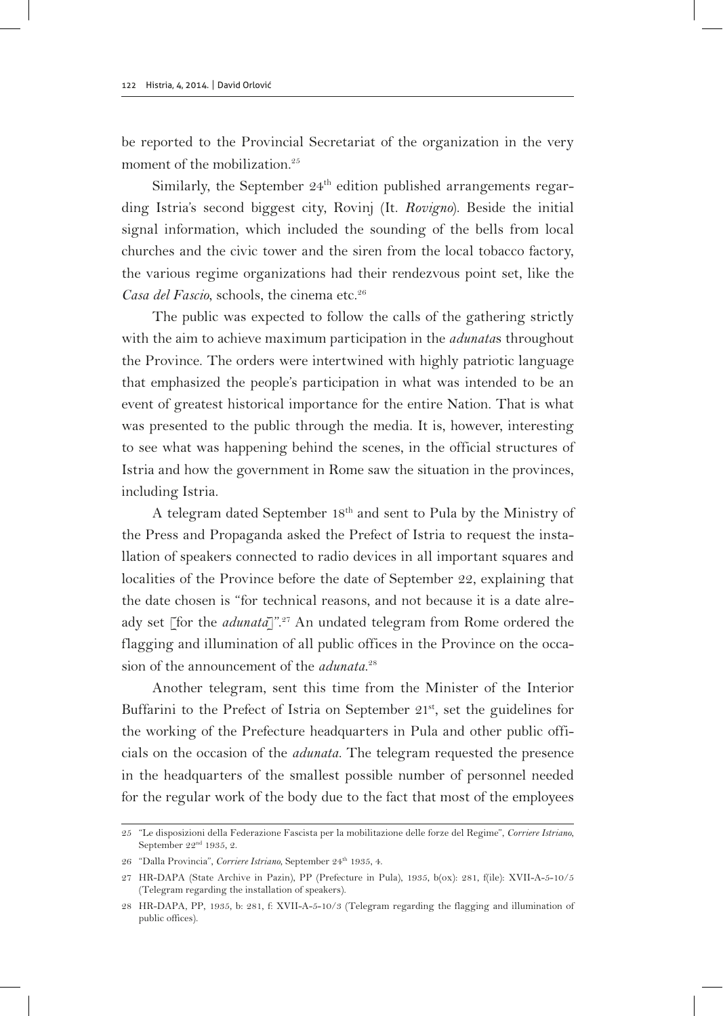be reported to the Provincial Secretariat of the organization in the very moment of the mobilization.<sup>25</sup>

Similarly, the September  $24<sup>th</sup>$  edition published arrangements regarding Istria's second biggest city, Rovinj (It. *Rovigno*). Beside the initial signal information, which included the sounding of the bells from local churches and the civic tower and the siren from the local tobacco factory, the various regime organizations had their rendezvous point set, like the *Casa del Fascio*, schools, the cinema etc.26

The public was expected to follow the calls of the gathering strictly with the aim to achieve maximum participation in the *adunata*s throughout the Province. The orders were intertwined with highly patriotic language that emphasized the people's participation in what was intended to be an event of greatest historical importance for the entire Nation. That is what was presented to the public through the media. It is, however, interesting to see what was happening behind the scenes, in the official structures of Istria and how the government in Rome saw the situation in the provinces, including Istria.

A telegram dated September 18th and sent to Pula by the Ministry of the Press and Propaganda asked the Prefect of Istria to request the installation of speakers connected to radio devices in all important squares and localities of the Province before the date of September 22, explaining that the date chosen is "for technical reasons, and not because it is a date already set [for the *adunata*]".<sup>27</sup> An undated telegram from Rome ordered the flagging and illumination of all public offices in the Province on the occasion of the announcement of the *adunata*. 28

Another telegram, sent this time from the Minister of the Interior Buffarini to the Prefect of Istria on September  $21<sup>st</sup>$ , set the guidelines for the working of the Prefecture headquarters in Pula and other public officials on the occasion of the *adunata*. The telegram requested the presence in the headquarters of the smallest possible number of personnel needed for the regular work of the body due to the fact that most of the employees

<sup>25</sup> "Le disposizioni della Federazione Fascista per la mobilitazione delle forze del Regime", *Corriere Istriano*, September 22<sup>nd</sup> 1935, 2.

<sup>26 &</sup>quot;Dalla Provincia", *Corriere Istriano*, September 24<sup>th</sup> 1935, 4.

<sup>27</sup> HR-DAPA (State Archive in Pazin), PP (Prefecture in Pula), 1935, b(ox): 281, f(ile): XVII-A-5-10/5 (Telegram regarding the installation of speakers).

<sup>28</sup> HR-DAPA, PP, 1935, b: 281, f: XVII-A-5-10/3 (Telegram regarding the flagging and illumination of public offices).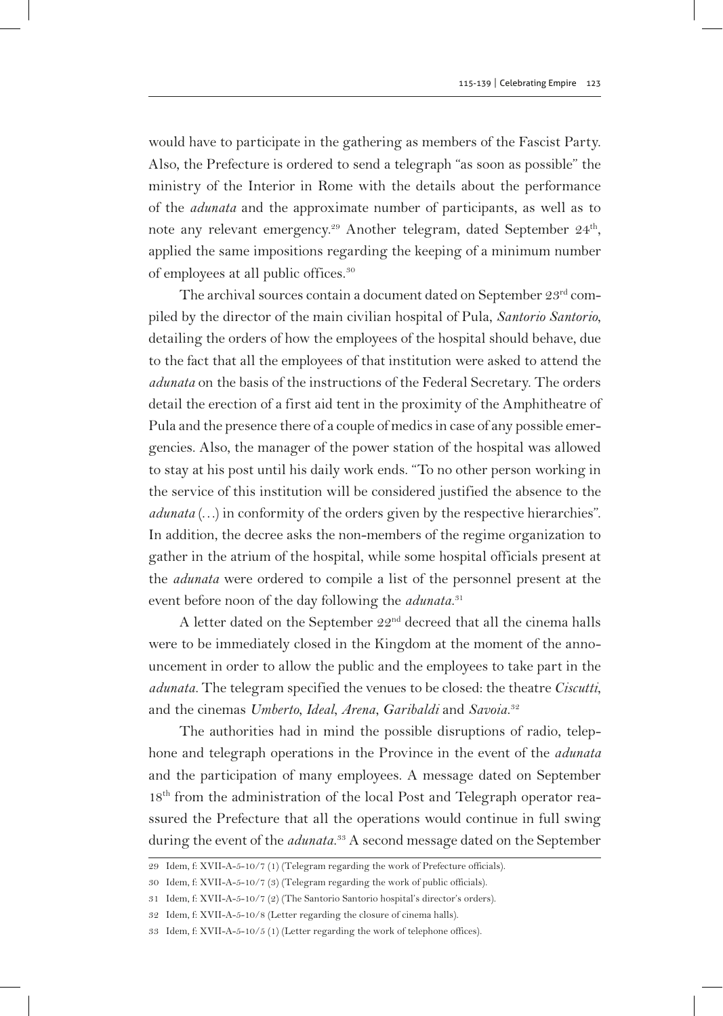would have to participate in the gathering as members of the Fascist Party. Also, the Prefecture is ordered to send a telegraph "as soon as possible" the ministry of the Interior in Rome with the details about the performance of the *adunata* and the approximate number of participants, as well as to note any relevant emergency.<sup>29</sup> Another telegram, dated September 24<sup>th</sup>, applied the same impositions regarding the keeping of a minimum number of employees at all public offices.30

The archival sources contain a document dated on September 23rd compiled by the director of the main civilian hospital of Pula, *Santorio Santorio*, detailing the orders of how the employees of the hospital should behave, due to the fact that all the employees of that institution were asked to attend the *adunata* on the basis of the instructions of the Federal Secretary. The orders detail the erection of a first aid tent in the proximity of the Amphitheatre of Pula and the presence there of a couple of medics in case of any possible emergencies. Also, the manager of the power station of the hospital was allowed to stay at his post until his daily work ends. "To no other person working in the service of this institution will be considered justified the absence to the *adunata* (…) in conformity of the orders given by the respective hierarchies". In addition, the decree asks the non-members of the regime organization to gather in the atrium of the hospital, while some hospital officials present at the *adunata* were ordered to compile a list of the personnel present at the event before noon of the day following the *adunata*. 31

A letter dated on the September 22nd decreed that all the cinema halls were to be immediately closed in the Kingdom at the moment of the announcement in order to allow the public and the employees to take part in the *adunata*. The telegram specified the venues to be closed: the theatre *Ciscutti*, and the cinemas *Umberto*, *Ideal*, *Arena*, *Garibaldi* and *Savoia*. 32

The authorities had in mind the possible disruptions of radio, telephone and telegraph operations in the Province in the event of the *adunata* and the participation of many employees. A message dated on September 18<sup>th</sup> from the administration of the local Post and Telegraph operator reassured the Prefecture that all the operations would continue in full swing during the event of the *adunata*. 33 A second message dated on the September

<sup>29</sup> Idem, f: XVII-A-5-10/7 (1) (Telegram regarding the work of Prefecture officials).

<sup>30</sup> Idem, f: XVII-A-5-10/7 (3) (Telegram regarding the work of public officials).

<sup>31</sup> Idem, f: XVII-A-5-10/7 (2) (The Santorio Santorio hospital's director's orders).

<sup>32</sup> Idem, f: XVII-A-5-10/8 (Letter regarding the closure of cinema halls).

<sup>33</sup> Idem, f: XVII-A-5-10/5 (1) (Letter regarding the work of telephone offices).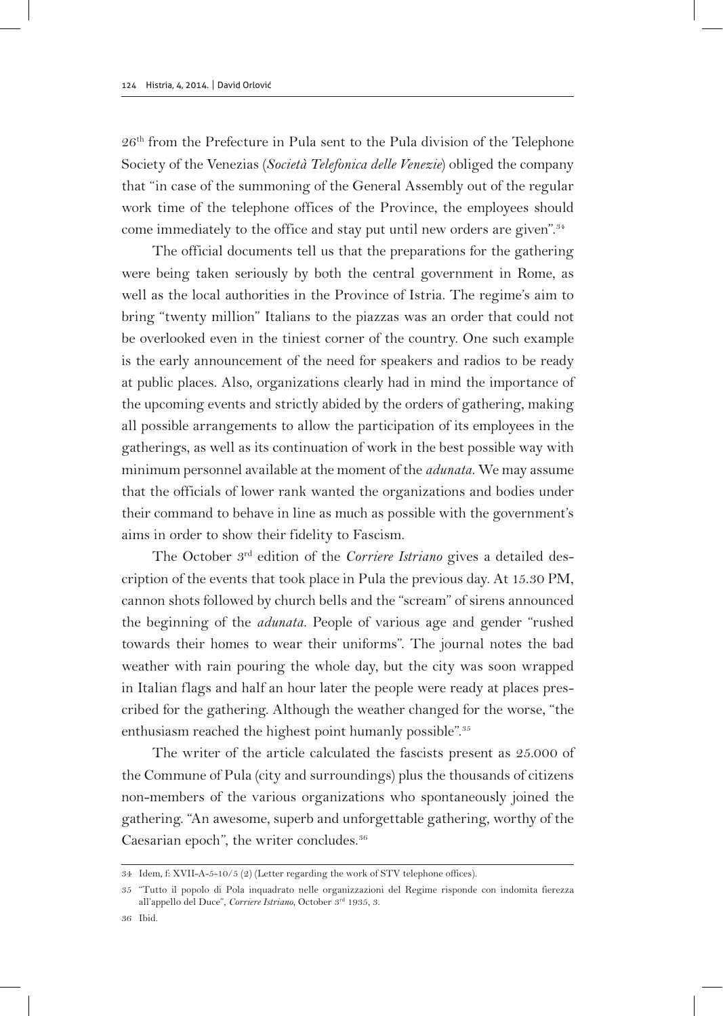26th from the Prefecture in Pula sent to the Pula division of the Telephone Society of the Venezias (*Società Telefonica delle Venezie*) obliged the company that "in case of the summoning of the General Assembly out of the regular work time of the telephone offices of the Province, the employees should come immediately to the office and stay put until new orders are given".<sup>34</sup>

The official documents tell us that the preparations for the gathering were being taken seriously by both the central government in Rome, as well as the local authorities in the Province of Istria. The regime's aim to bring "twenty million" Italians to the piazzas was an order that could not be overlooked even in the tiniest corner of the country. One such example is the early announcement of the need for speakers and radios to be ready at public places. Also, organizations clearly had in mind the importance of the upcoming events and strictly abided by the orders of gathering, making all possible arrangements to allow the participation of its employees in the gatherings, as well as its continuation of work in the best possible way with minimum personnel available at the moment of the *adunata*. We may assume that the officials of lower rank wanted the organizations and bodies under their command to behave in line as much as possible with the government's aims in order to show their fidelity to Fascism.

The October 3<sup>rd</sup> edition of the *Corriere Istriano* gives a detailed description of the events that took place in Pula the previous day. At 15.30 PM, cannon shots followed by church bells and the "scream" of sirens announced the beginning of the *adunata*. People of various age and gender "rushed towards their homes to wear their uniforms". The journal notes the bad weather with rain pouring the whole day, but the city was soon wrapped in Italian flags and half an hour later the people were ready at places prescribed for the gathering. Although the weather changed for the worse, "the enthusiasm reached the highest point humanly possible".<sup>35</sup>

The writer of the article calculated the fascists present as 25.000 of the Commune of Pula (city and surroundings) plus the thousands of citizens non-members of the various organizations who spontaneously joined the gathering. "An awesome, superb and unforgettable gathering, worthy of the Caesarian epoch", the writer concludes.<sup>36</sup>

36 Ibid.

<sup>34</sup> Idem, f: XVII-A-5-10/5 (2) (Letter regarding the work of STV telephone offices).

<sup>35</sup> "Tutto il popolo di Pola inquadrato nelle organizzazioni del Regime risponde con indomita fierezza all'appello del Duce", *Corriere Istriano*, October 3rd 1935, 3.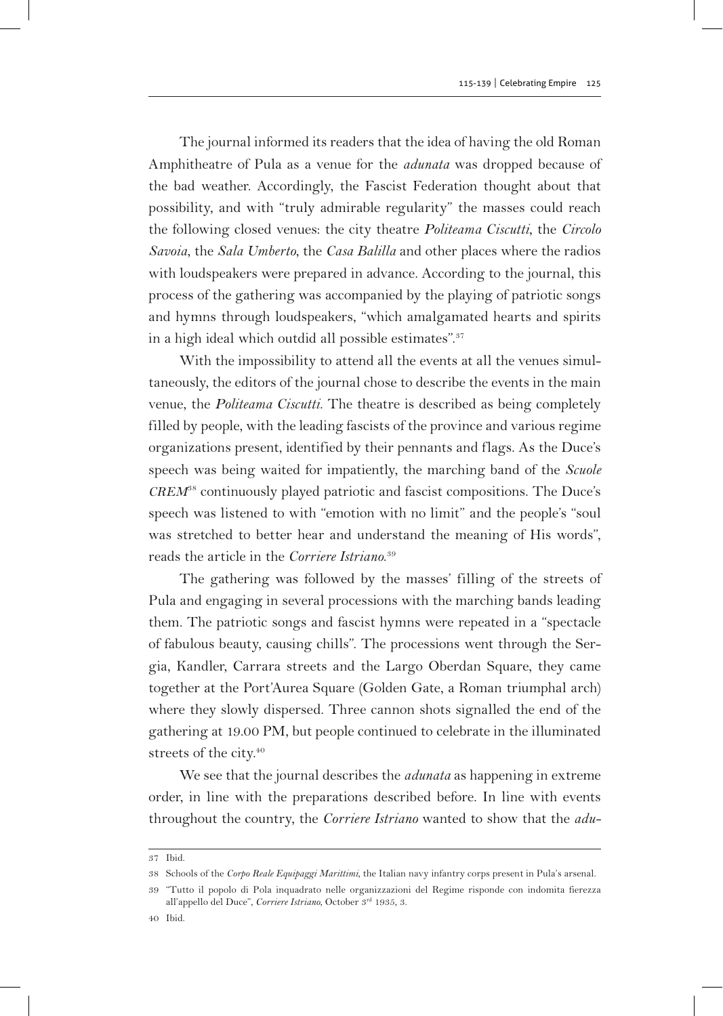The journal informed its readers that the idea of having the old Roman Amphitheatre of Pula as a venue for the *adunata* was dropped because of the bad weather. Accordingly, the Fascist Federation thought about that possibility, and with "truly admirable regularity" the masses could reach the following closed venues: the city theatre *Politeama Ciscutti*, the *Circolo Savoia*, the *Sala Umberto*, the *Casa Balilla* and other places where the radios with loudspeakers were prepared in advance. According to the journal, this process of the gathering was accompanied by the playing of patriotic songs and hymns through loudspeakers, "which amalgamated hearts and spirits in a high ideal which outdid all possible estimates".<sup>37</sup>

With the impossibility to attend all the events at all the venues simultaneously, the editors of the journal chose to describe the events in the main venue, the *Politeama Ciscutti*. The theatre is described as being completely filled by people, with the leading fascists of the province and various regime organizations present, identified by their pennants and flags. As the Duce's speech was being waited for impatiently, the marching band of the *Scuole CREM*38 continuously played patriotic and fascist compositions. The Duce's speech was listened to with "emotion with no limit" and the people's "soul was stretched to better hear and understand the meaning of His words", reads the article in the *Corriere Istriano*. 39

The gathering was followed by the masses' filling of the streets of Pula and engaging in several processions with the marching bands leading them. The patriotic songs and fascist hymns were repeated in a "spectacle of fabulous beauty, causing chills". The processions went through the Sergia, Kandler, Carrara streets and the Largo Oberdan Square, they came together at the Port'Aurea Square (Golden Gate, a Roman triumphal arch) where they slowly dispersed. Three cannon shots signalled the end of the gathering at 19.00 PM, but people continued to celebrate in the illuminated streets of the city.<sup>40</sup>

We see that the journal describes the *adunata* as happening in extreme order, in line with the preparations described before. In line with events throughout the country, the *Corriere Istriano* wanted to show that the *adu-*

<sup>37</sup> Ibid.

<sup>38</sup> Schools of the *Corpo Reale Equipaggi Marittimi*, the Italian navy infantry corps present in Pula's arsenal.

<sup>39</sup> "Tutto il popolo di Pola inquadrato nelle organizzazioni del Regime risponde con indomita fierezza all'appello del Duce", *Corriere Istriano*, October 3rd 1935, 3.

<sup>40</sup> Ibid.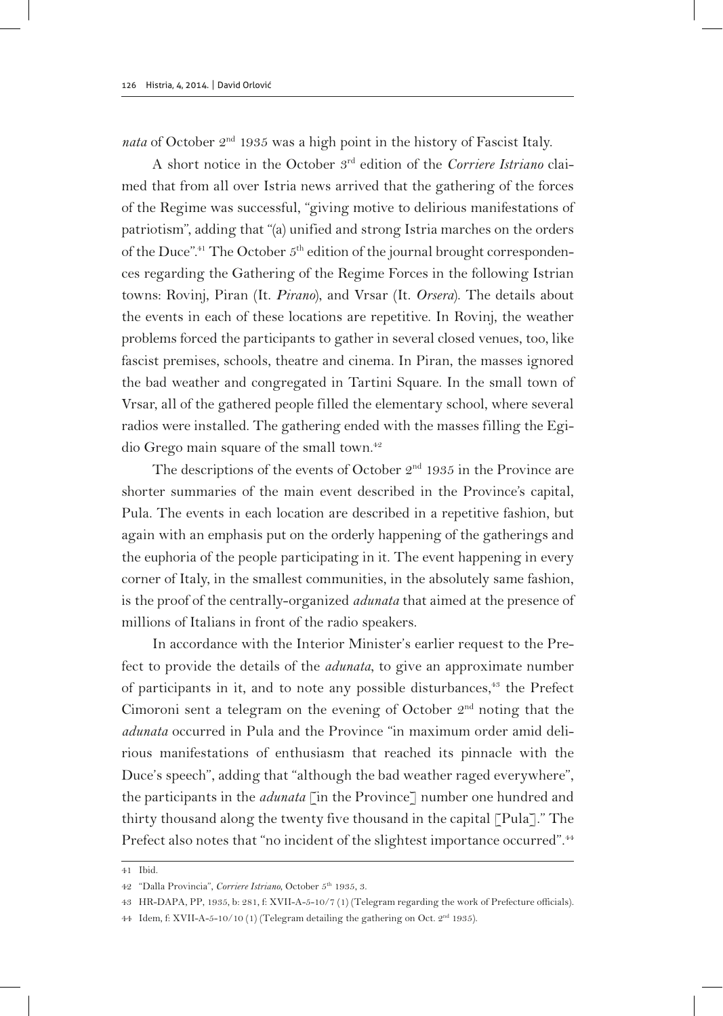*nata* of October 2nd 1935 was a high point in the history of Fascist Italy.

A short notice in the October 3rd edition of the *Corriere Istriano* claimed that from all over Istria news arrived that the gathering of the forces of the Regime was successful, "giving motive to delirious manifestations of patriotism", adding that "(a) unified and strong Istria marches on the orders of the Duce".<sup>41</sup> The October  $5<sup>th</sup>$  edition of the journal brought correspondences regarding the Gathering of the Regime Forces in the following Istrian towns: Rovinj, Piran (It. *Pirano*), and Vrsar (It. *Orsera*). The details about the events in each of these locations are repetitive. In Rovinj, the weather problems forced the participants to gather in several closed venues, too, like fascist premises, schools, theatre and cinema. In Piran, the masses ignored the bad weather and congregated in Tartini Square. In the small town of Vrsar, all of the gathered people filled the elementary school, where several radios were installed. The gathering ended with the masses filling the Egidio Grego main square of the small town.<sup>42</sup>

The descriptions of the events of October  $2<sup>nd</sup>$  1935 in the Province are shorter summaries of the main event described in the Province's capital, Pula. The events in each location are described in a repetitive fashion, but again with an emphasis put on the orderly happening of the gatherings and the euphoria of the people participating in it. The event happening in every corner of Italy, in the smallest communities, in the absolutely same fashion, is the proof of the centrally-organized *adunata* that aimed at the presence of millions of Italians in front of the radio speakers.

In accordance with the Interior Minister's earlier request to the Prefect to provide the details of the *adunata*, to give an approximate number of participants in it, and to note any possible disturbances,<sup>43</sup> the Prefect Cimoroni sent a telegram on the evening of October  $2<sup>nd</sup>$  noting that the *adunata* occurred in Pula and the Province "in maximum order amid delirious manifestations of enthusiasm that reached its pinnacle with the Duce's speech", adding that "although the bad weather raged everywhere", the participants in the *adunata* [in the Province] number one hundred and thirty thousand along the twenty five thousand in the capital [Pula]." The Prefect also notes that "no incident of the slightest importance occurred".<sup>44</sup>

<sup>41</sup> Ibid.

<sup>42</sup> "Dalla Provincia", *Corriere Istriano*, October 5th 1935, 3.

<sup>43</sup> HR-DAPA, PP, 1935, b: 281, f: XVII-A-5-10/7 (1) (Telegram regarding the work of Prefecture officials).

<sup>44</sup> Idem, f: XVII-A-5-10/10 (1) (Telegram detailing the gathering on Oct. 2nd 1935).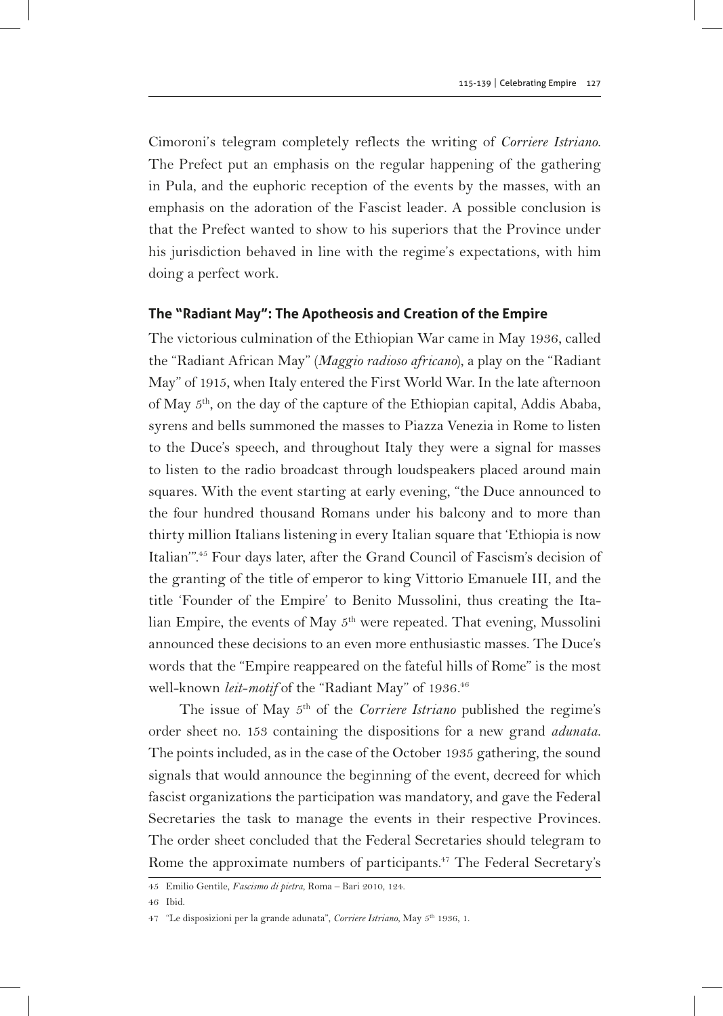Cimoroni's telegram completely reflects the writing of *Corriere Istriano*. The Prefect put an emphasis on the regular happening of the gathering in Pula, and the euphoric reception of the events by the masses, with an emphasis on the adoration of the Fascist leader. A possible conclusion is that the Prefect wanted to show to his superiors that the Province under his jurisdiction behaved in line with the regime's expectations, with him doing a perfect work.

#### **The "Radiant May": The Apotheosis and Creation of the Empire**

The victorious culmination of the Ethiopian War came in May 1936, called the "Radiant African May" (*Maggio radioso africano*), a play on the "Radiant May" of 1915, when Italy entered the First World War. In the late afternoon of May 5th, on the day of the capture of the Ethiopian capital, Addis Ababa, syrens and bells summoned the masses to Piazza Venezia in Rome to listen to the Duce's speech, and throughout Italy they were a signal for masses to listen to the radio broadcast through loudspeakers placed around main squares. With the event starting at early evening, "the Duce announced to the four hundred thousand Romans under his balcony and to more than thirty million Italians listening in every Italian square that 'Ethiopia is now Italian'".45 Four days later, after the Grand Council of Fascism's decision of the granting of the title of emperor to king Vittorio Emanuele III, and the title 'Founder of the Empire' to Benito Mussolini, thus creating the Italian Empire, the events of May 5<sup>th</sup> were repeated. That evening, Mussolini announced these decisions to an even more enthusiastic masses. The Duce's words that the "Empire reappeared on the fateful hills of Rome" is the most well-known *leit-motif* of the "Radiant May" of 1936.<sup>46</sup>

The issue of May 5<sup>th</sup> of the *Corriere Istriano* published the regime's order sheet no. 153 containing the dispositions for a new grand *adunata*. The points included, as in the case of the October 1935 gathering, the sound signals that would announce the beginning of the event, decreed for which fascist organizations the participation was mandatory, and gave the Federal Secretaries the task to manage the events in their respective Provinces. The order sheet concluded that the Federal Secretaries should telegram to Rome the approximate numbers of participants.<sup>47</sup> The Federal Secretary's

46 Ibid.

<sup>45</sup> Emilio Gentile, *Fascismo di pietra*, Roma – Bari 2010, 124.

<sup>47</sup> "Le disposizioni per la grande adunata", *Corriere Istriano*, May 5th 1936, 1.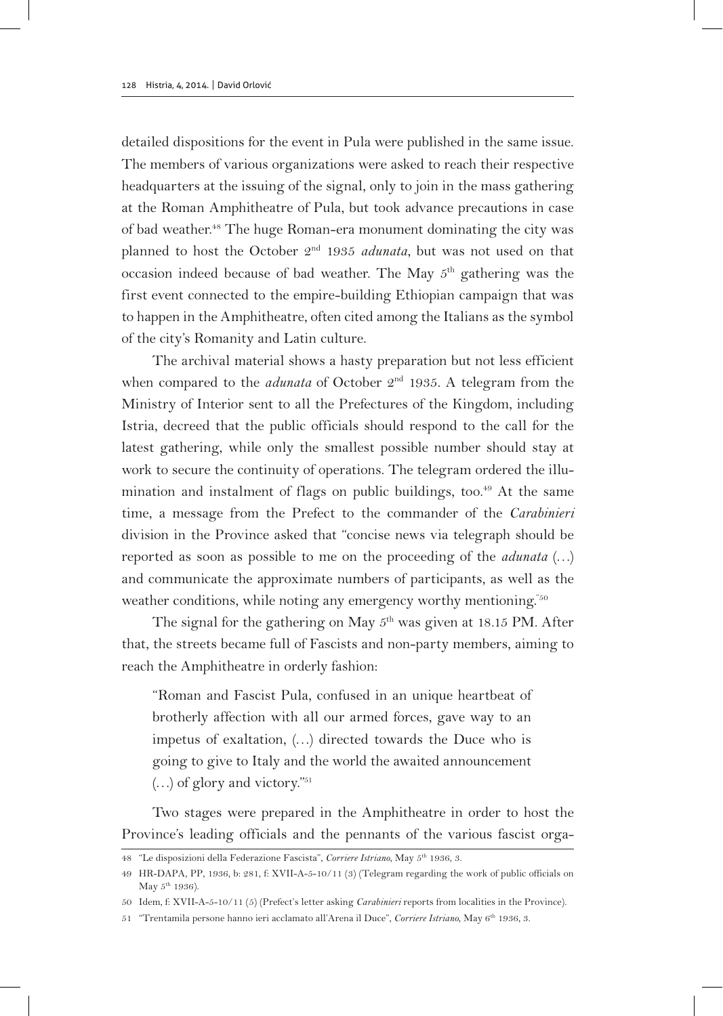detailed dispositions for the event in Pula were published in the same issue. The members of various organizations were asked to reach their respective headquarters at the issuing of the signal, only to join in the mass gathering at the Roman Amphitheatre of Pula, but took advance precautions in case of bad weather.48 The huge Roman-era monument dominating the city was planned to host the October 2<sup>nd</sup> 1935 *adunata*, but was not used on that occasion indeed because of bad weather. The May 5th gathering was the first event connected to the empire-building Ethiopian campaign that was to happen in the Amphitheatre, often cited among the Italians as the symbol of the city's Romanity and Latin culture.

The archival material shows a hasty preparation but not less efficient when compared to the *adunata* of October 2<sup>nd</sup> 1935. A telegram from the Ministry of Interior sent to all the Prefectures of the Kingdom, including Istria, decreed that the public officials should respond to the call for the latest gathering, while only the smallest possible number should stay at work to secure the continuity of operations. The telegram ordered the illumination and instalment of flags on public buildings, too.<sup>49</sup> At the same time, a message from the Prefect to the commander of the *Carabinieri* division in the Province asked that "concise news via telegraph should be reported as soon as possible to me on the proceeding of the *adunata* (…) and communicate the approximate numbers of participants, as well as the weather conditions, while noting any emergency worthy mentioning.<sup>"50</sup>

The signal for the gathering on May  $5<sup>th</sup>$  was given at 18.15 PM. After that, the streets became full of Fascists and non-party members, aiming to reach the Amphitheatre in orderly fashion:

"Roman and Fascist Pula, confused in an unique heartbeat of brotherly affection with all our armed forces, gave way to an impetus of exaltation, (…) directed towards the Duce who is going to give to Italy and the world the awaited announcement  $(...)$  of glory and victory."<sup>51</sup>

Two stages were prepared in the Amphitheatre in order to host the Province's leading officials and the pennants of the various fascist orga-

<sup>48</sup> "Le disposizioni della Federazione Fascista", *Corriere Istriano*, May 5th 1936, 3.

<sup>49</sup> HR-DAPA, PP, 1936, b: 281, f: XVII-A-5-10/11 (3) (Telegram regarding the work of public officials on May  $5^{\text{th}}$  1936).

<sup>50</sup> Idem, f: XVII-A-5-10/11 (5) (Prefect's letter asking *Carabinieri* reports from localities in the Province).

<sup>51</sup> "Trentamila persone hanno ieri acclamato all'Arena il Duce", *Corriere Istriano*, May 6th 1936, 3.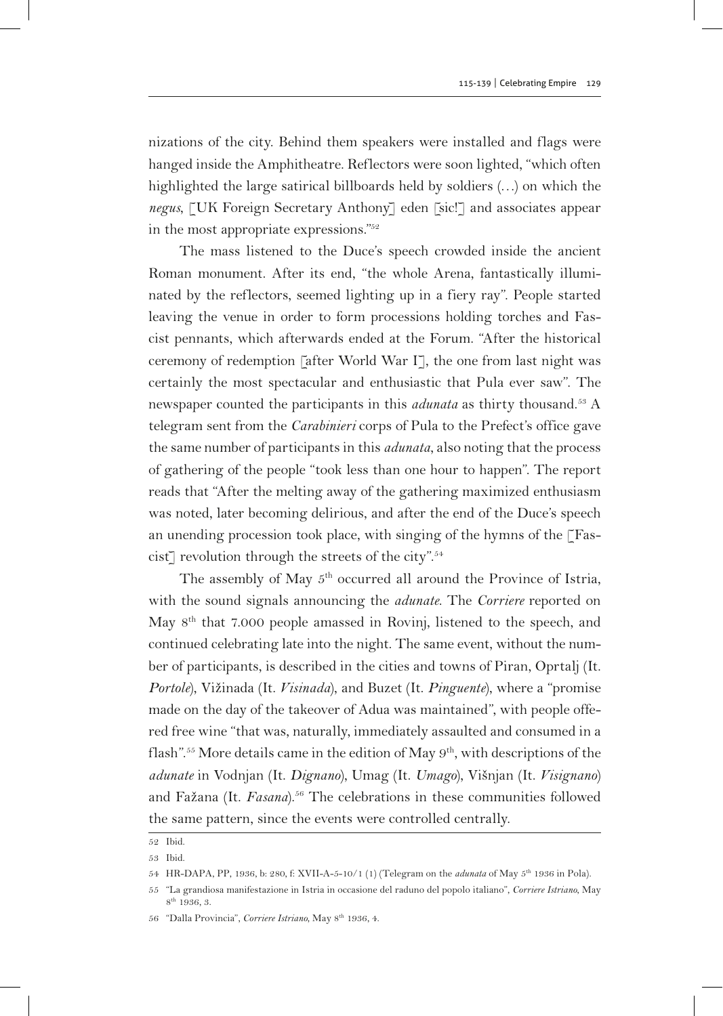nizations of the city. Behind them speakers were installed and flags were hanged inside the Amphitheatre. Reflectors were soon lighted, "which often highlighted the large satirical billboards held by soldiers (…) on which the *negus*, [UK Foreign Secretary Anthony] eden [sic!] and associates appear in the most appropriate expressions."52

The mass listened to the Duce's speech crowded inside the ancient Roman monument. After its end, "the whole Arena, fantastically illuminated by the reflectors, seemed lighting up in a fiery ray". People started leaving the venue in order to form processions holding torches and Fascist pennants, which afterwards ended at the Forum. "After the historical ceremony of redemption [after World War I], the one from last night was certainly the most spectacular and enthusiastic that Pula ever saw". The newspaper counted the participants in this *adunata* as thirty thousand.53 A telegram sent from the *Carabinieri* corps of Pula to the Prefect's office gave the same number of participants in this *adunata*, also noting that the process of gathering of the people "took less than one hour to happen". The report reads that "After the melting away of the gathering maximized enthusiasm was noted, later becoming delirious, and after the end of the Duce's speech an unending procession took place, with singing of the hymns of the [Fascist] revolution through the streets of the city".<sup>54</sup>

The assembly of May  $5<sup>th</sup>$  occurred all around the Province of Istria, with the sound signals announcing the *adunate*. The *Corriere* reported on May 8th that 7.000 people amassed in Rovinj, listened to the speech, and continued celebrating late into the night. The same event, without the number of participants, is described in the cities and towns of Piran, Oprtalj (It. *Portole*), Vižinada (It. *Visinada*), and Buzet (It. *Pinguente*), where a "promise made on the day of the takeover of Adua was maintained", with people offered free wine "that was, naturally, immediately assaulted and consumed in a flash".<sup>55</sup> More details came in the edition of May 9<sup>th</sup>, with descriptions of the *adunate* in Vodnjan (It. *Dignano*), Umag (It. *Umago*), Višnjan (It. *Visignano*) and Fažana (It. *Fasana*).<sup>56</sup> The celebrations in these communities followed the same pattern, since the events were controlled centrally.

<sup>52</sup> Ibid.

<sup>53</sup> Ibid.

<sup>54</sup> HR-DAPA, PP, 1936, b: 280, f: XVII-A-5-10/1 (1) (Telegram on the *adunata* of May 5th 1936 in Pola).

<sup>55</sup> "La grandiosa manifestazione in Istria in occasione del raduno del popolo italiano", *Corriere Istriano*, May  $8^{\rm th}$ 1936, 3.

<sup>56</sup> "Dalla Provincia", *Corriere Istriano*, May 8th 1936, 4.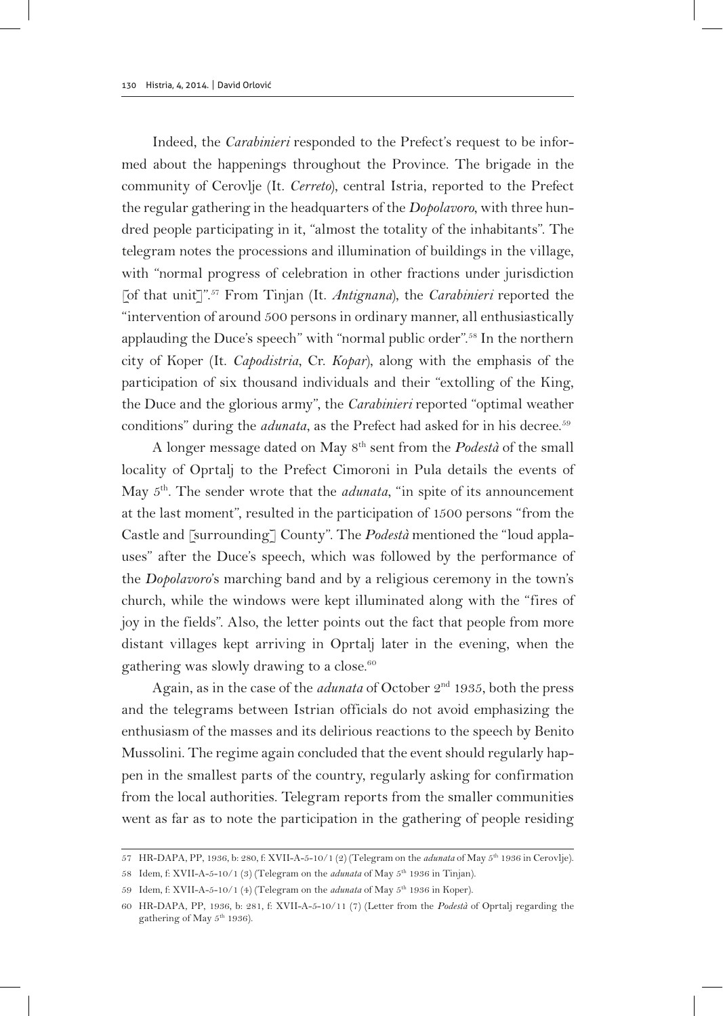Indeed, the *Carabinieri* responded to the Prefect's request to be informed about the happenings throughout the Province. The brigade in the community of Cerovlje (It. *Cerreto*), central Istria, reported to the Prefect the regular gathering in the headquarters of the *Dopolavoro*, with three hundred people participating in it, "almost the totality of the inhabitants". The telegram notes the processions and illumination of buildings in the village, with "normal progress of celebration in other fractions under jurisdiction [of that unit]".57 From Tinjan (It. *Antignana*), the *Carabinieri* reported the "intervention of around 500 persons in ordinary manner, all enthusiastically applauding the Duce's speech" with "normal public order".58 In the northern city of Koper (It. *Capodistria*, Cr. *Kopar*), along with the emphasis of the participation of six thousand individuals and their "extolling of the King, the Duce and the glorious army", the *Carabinieri* reported "optimal weather conditions" during the *adunata*, as the Prefect had asked for in his decree.<sup>59</sup>

A longer message dated on May 8th sent from the *Podestà* of the small locality of Oprtalj to the Prefect Cimoroni in Pula details the events of May  $5<sup>th</sup>$ . The sender wrote that the *adunata*, "in spite of its announcement at the last moment", resulted in the participation of 1500 persons "from the Castle and [surrounding] County". The *Podestà* mentioned the "loud applauses" after the Duce's speech, which was followed by the performance of the *Dopolavoro*'s marching band and by a religious ceremony in the town's church, while the windows were kept illuminated along with the "fires of joy in the fields". Also, the letter points out the fact that people from more distant villages kept arriving in Oprtalj later in the evening, when the gathering was slowly drawing to a close.<sup>60</sup>

Again, as in the case of the *adunata* of October 2nd 1935, both the press and the telegrams between Istrian officials do not avoid emphasizing the enthusiasm of the masses and its delirious reactions to the speech by Benito Mussolini. The regime again concluded that the event should regularly happen in the smallest parts of the country, regularly asking for confirmation from the local authorities. Telegram reports from the smaller communities went as far as to note the participation in the gathering of people residing

<sup>57</sup> HR-DAPA, PP, 1936, b: 280, f: XVII-A-5-10/1 (2) (Telegram on the *adunata* of May 5th 1936 in Cerovlje).

<sup>58</sup> Idem, f: XVII-A-5-10/1 (3) (Telegram on the *adunata* of May 5<sup>th</sup> 1936 in Tinjan).

<sup>59</sup> Idem, f: XVII-A-5-10/1 (4) (Telegram on the *adunata* of May 5th 1936 in Koper).

<sup>60</sup> HR-DAPA, PP, 1936, b: 281, f: XVII-A-5-10/11 (7) (Letter from the *Podestà* of Oprtalj regarding the gathering of May  $5^{\text{th}}$  1936).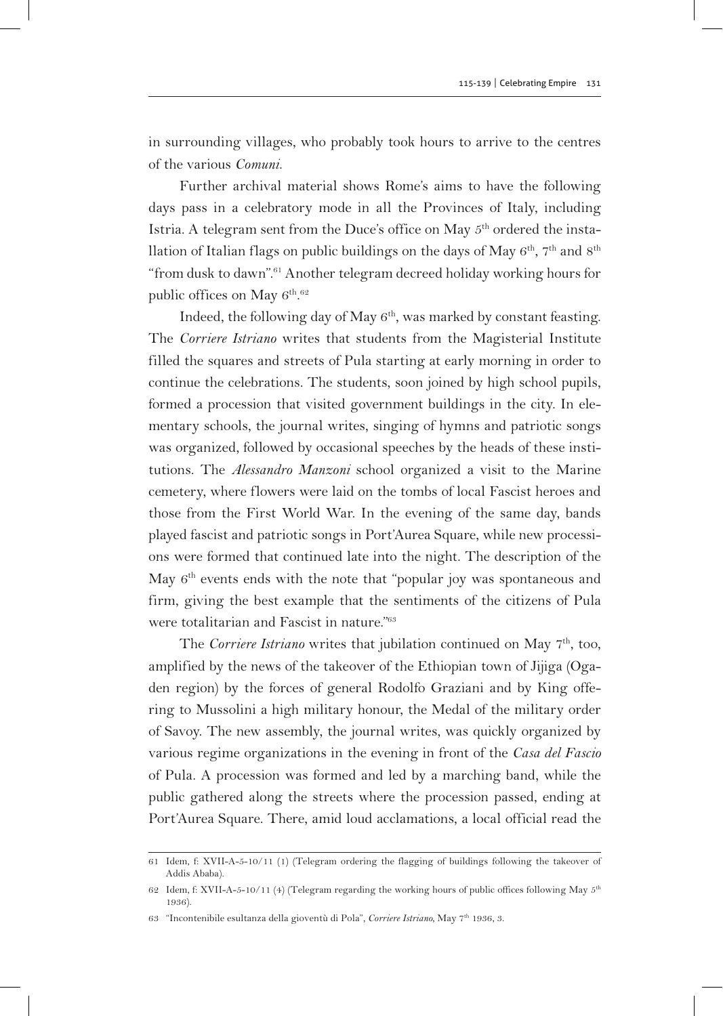in surrounding villages, who probably took hours to arrive to the centres of the various *Comuni*.

Further archival material shows Rome's aims to have the following days pass in a celebratory mode in all the Provinces of Italy, including Istria. A telegram sent from the Duce's office on May  $5<sup>th</sup>$  ordered the installation of Italian flags on public buildings on the days of May  $6^{th}$ ,  $7^{th}$  and  $8^{th}$ "from dusk to dawn".61 Another telegram decreed holiday working hours for public offices on May  $6^{\rm th.62}$ 

Indeed, the following day of May  $6<sup>th</sup>$ , was marked by constant feasting. The *Corriere Istriano* writes that students from the Magisterial Institute filled the squares and streets of Pula starting at early morning in order to continue the celebrations. The students, soon joined by high school pupils, formed a procession that visited government buildings in the city. In elementary schools, the journal writes, singing of hymns and patriotic songs was organized, followed by occasional speeches by the heads of these institutions. The *Alessandro Manzoni* school organized a visit to the Marine cemetery, where flowers were laid on the tombs of local Fascist heroes and those from the First World War. In the evening of the same day, bands played fascist and patriotic songs in Port'Aurea Square, while new processions were formed that continued late into the night. The description of the May  $6<sup>th</sup>$  events ends with the note that "popular joy was spontaneous and firm, giving the best example that the sentiments of the citizens of Pula were totalitarian and Fascist in nature."63

The *Corriere Istriano* writes that jubilation continued on May 7<sup>th</sup>, too, amplified by the news of the takeover of the Ethiopian town of Jijiga (Ogaden region) by the forces of general Rodolfo Graziani and by King offering to Mussolini a high military honour, the Medal of the military order of Savoy. The new assembly, the journal writes, was quickly organized by various regime organizations in the evening in front of the *Casa del Fascio* of Pula. A procession was formed and led by a marching band, while the public gathered along the streets where the procession passed, ending at Port'Aurea Square. There, amid loud acclamations, a local official read the

<sup>61</sup> Idem, f: XVII-A-5-10/11 (1) (Telegram ordering the flagging of buildings following the takeover of Addis Ababa).

<sup>62</sup> Idem, f: XVII-A-5-10/11 (4) (Telegram regarding the working hours of public offices following May 5<sup>th</sup> 1936).

<sup>63</sup> "Incontenibile esultanza della gioventù di Pola", *Corriere Istriano*, May 7th 1936, 3.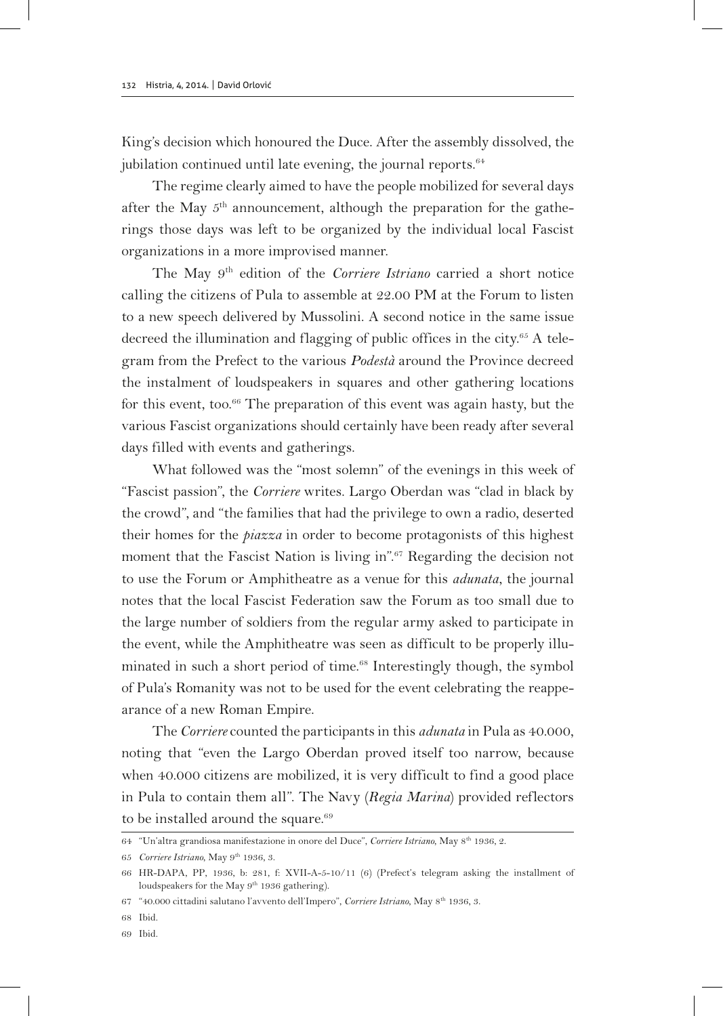King's decision which honoured the Duce. After the assembly dissolved, the jubilation continued until late evening, the journal reports.<sup>64</sup>

The regime clearly aimed to have the people mobilized for several days after the May 5<sup>th</sup> announcement, although the preparation for the gatherings those days was left to be organized by the individual local Fascist organizations in a more improvised manner.

The May 9th edition of the *Corriere Istriano* carried a short notice calling the citizens of Pula to assemble at 22.00 PM at the Forum to listen to a new speech delivered by Mussolini. A second notice in the same issue decreed the illumination and flagging of public offices in the city.<sup>65</sup> A telegram from the Prefect to the various *Podestà* around the Province decreed the instalment of loudspeakers in squares and other gathering locations for this event, too.<sup>66</sup> The preparation of this event was again hasty, but the various Fascist organizations should certainly have been ready after several days filled with events and gatherings.

What followed was the "most solemn" of the evenings in this week of "Fascist passion", the *Corriere* writes. Largo Oberdan was "clad in black by the crowd", and "the families that had the privilege to own a radio, deserted their homes for the *piazza* in order to become protagonists of this highest moment that the Fascist Nation is living in".67 Regarding the decision not to use the Forum or Amphitheatre as a venue for this *adunata*, the journal notes that the local Fascist Federation saw the Forum as too small due to the large number of soldiers from the regular army asked to participate in the event, while the Amphitheatre was seen as difficult to be properly illuminated in such a short period of time.<sup>68</sup> Interestingly though, the symbol of Pula's Romanity was not to be used for the event celebrating the reappearance of a new Roman Empire.

The *Corriere* counted the participants in this *adunata* in Pula as 40.000, noting that "even the Largo Oberdan proved itself too narrow, because when 40.000 citizens are mobilized, it is very difficult to find a good place in Pula to contain them all". The Navy (*Regia Marina*) provided reflectors to be installed around the square.<sup>69</sup>

<sup>64</sup> "Un'altra grandiosa manifestazione in onore del Duce", *Corriere Istriano*, May 8th 1936, 2.

<sup>65</sup> *Corriere Istriano*, May 9th 1936, 3.

<sup>66</sup> HR-DAPA, PP, 1936, b: 281, f: XVII-A-5-10/11 (6) (Prefect's telegram asking the installment of loudspeakers for the May 9<sup>th</sup> 1936 gathering).

<sup>67</sup> "40.000 cittadini salutano l'avvento dell'Impero", *Corriere Istriano*, May 8th 1936, 3.

<sup>68</sup> Ibid.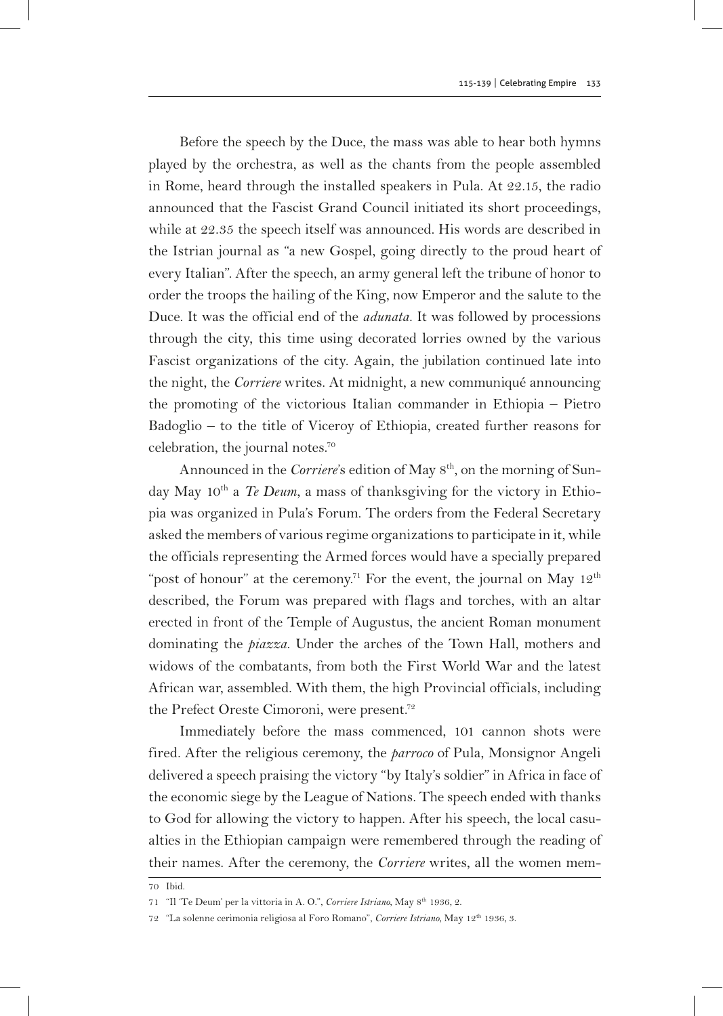Before the speech by the Duce, the mass was able to hear both hymns played by the orchestra, as well as the chants from the people assembled in Rome, heard through the installed speakers in Pula. At 22.15, the radio announced that the Fascist Grand Council initiated its short proceedings, while at 22.35 the speech itself was announced. His words are described in the Istrian journal as "a new Gospel, going directly to the proud heart of every Italian". After the speech, an army general left the tribune of honor to order the troops the hailing of the King, now Emperor and the salute to the Duce. It was the official end of the *adunata*. It was followed by processions through the city, this time using decorated lorries owned by the various Fascist organizations of the city. Again, the jubilation continued late into the night, the *Corriere* writes. At midnight, a new communiqué announcing the promoting of the victorious Italian commander in Ethiopia – Pietro Badoglio – to the title of Viceroy of Ethiopia, created further reasons for celebration, the journal notes.70

Announced in the *Corriere*'s edition of May  $8<sup>th</sup>$ , on the morning of Sunday May 10th a *Te Deum*, a mass of thanksgiving for the victory in Ethiopia was organized in Pula's Forum. The orders from the Federal Secretary asked the members of various regime organizations to participate in it, while the officials representing the Armed forces would have a specially prepared "post of honour" at the ceremony.<sup>71</sup> For the event, the journal on May  $12<sup>th</sup>$ described, the Forum was prepared with flags and torches, with an altar erected in front of the Temple of Augustus, the ancient Roman monument dominating the *piazza*. Under the arches of the Town Hall, mothers and widows of the combatants, from both the First World War and the latest African war, assembled. With them, the high Provincial officials, including the Prefect Oreste Cimoroni, were present.<sup>72</sup>

Immediately before the mass commenced, 101 cannon shots were fired. After the religious ceremony, the *parroco* of Pula, Monsignor Angeli delivered a speech praising the victory "by Italy's soldier" in Africa in face of the economic siege by the League of Nations. The speech ended with thanks to God for allowing the victory to happen. After his speech, the local casualties in the Ethiopian campaign were remembered through the reading of their names. After the ceremony, the *Corriere* writes, all the women mem-

<sup>70</sup> Ibid.

<sup>71</sup> "Il 'Te Deum' per la vittoria in A. O.", *Corriere Istriano*, May 8th 1936, 2.

<sup>72</sup> "La solenne cerimonia religiosa al Foro Romano", *Corriere Istriano*, May 12th 1936, 3.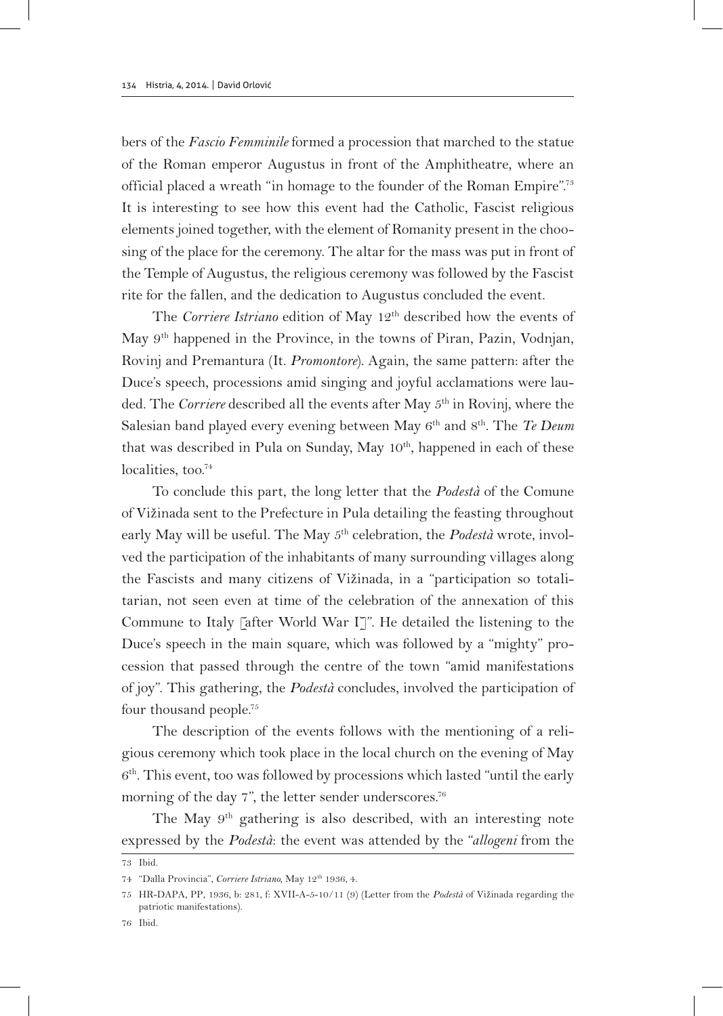bers of the *Fascio Femminile* formed a procession that marched to the statue of the Roman emperor Augustus in front of the Amphitheatre, where an official placed a wreath "in homage to the founder of the Roman Empire".73 It is interesting to see how this event had the Catholic, Fascist religious elements joined together, with the element of Romanity present in the choosing of the place for the ceremony. The altar for the mass was put in front of the Temple of Augustus, the religious ceremony was followed by the Fascist rite for the fallen, and the dedication to Augustus concluded the event.

The *Corriere Istriano* edition of May 12<sup>th</sup> described how the events of May 9th happened in the Province, in the towns of Piran, Pazin, Vodnjan, Rovinj and Premantura (It. *Promontore*). Again, the same pattern: after the Duce's speech, processions amid singing and joyful acclamations were lauded. The *Corriere* described all the events after May 5th in Rovinj, where the Salesian band played every evening between May 6<sup>th</sup> and 8<sup>th</sup>. The *Te Deum* that was described in Pula on Sunday, May  $10^{th}$ , happened in each of these localities, too.<sup>74</sup>

To conclude this part, the long letter that the *Podestà* of the Comune of Vižinada sent to the Prefecture in Pula detailing the feasting throughout early May will be useful. The May 5th celebration, the *Podestà* wrote, involved the participation of the inhabitants of many surrounding villages along the Fascists and many citizens of Vižinada, in a "participation so totalitarian, not seen even at time of the celebration of the annexation of this Commune to Italy [after World War I]". He detailed the listening to the Duce's speech in the main square, which was followed by a "mighty" procession that passed through the centre of the town "amid manifestations of joy". This gathering, the *Podestà* concludes, involved the participation of four thousand people.<sup>75</sup>

The description of the events follows with the mentioning of a religious ceremony which took place in the local church on the evening of May  $6<sup>th</sup>$ . This event, too was followed by processions which lasted "until the early morning of the day 7", the letter sender underscores.<sup>76</sup>

The May 9<sup>th</sup> gathering is also described, with an interesting note expressed by the *Podestà*: the event was attended by the "*allogeni* from the

<sup>73</sup> Ibid.

<sup>74</sup> "Dalla Provincia", *Corriere Istriano*, May 12th 1936, 4.

<sup>75</sup> HR-DAPA, PP, 1936, b: 281, f: XVII-A-5-10/11 (9) (Letter from the *Podestà* of Vižinada regarding the patriotic manifestations).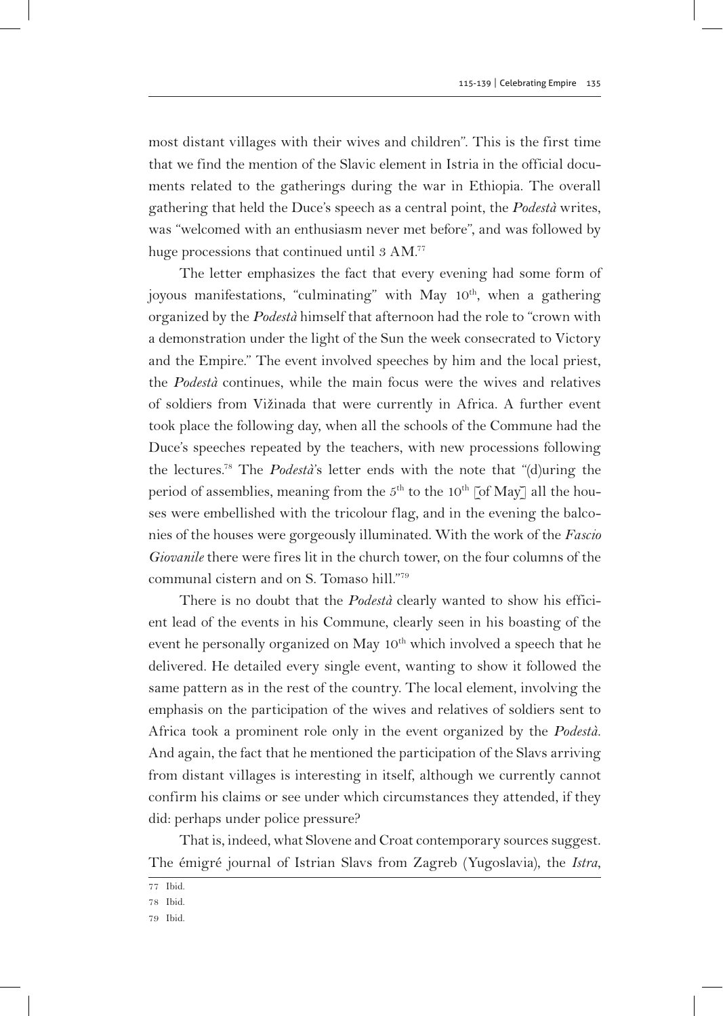most distant villages with their wives and children". This is the first time that we find the mention of the Slavic element in Istria in the official documents related to the gatherings during the war in Ethiopia. The overall gathering that held the Duce's speech as a central point, the *Podestà* writes, was "welcomed with an enthusiasm never met before", and was followed by huge processions that continued until 3 AM.<sup>77</sup>

The letter emphasizes the fact that every evening had some form of joyous manifestations, "culminating" with May 10<sup>th</sup>, when a gathering organized by the *Podestà* himself that afternoon had the role to "crown with a demonstration under the light of the Sun the week consecrated to Victory and the Empire." The event involved speeches by him and the local priest, the *Podestà* continues, while the main focus were the wives and relatives of soldiers from Vižinada that were currently in Africa. A further event took place the following day, when all the schools of the Commune had the Duce's speeches repeated by the teachers, with new processions following the lectures.78 The *Podestà*'s letter ends with the note that "(d)uring the period of assemblies, meaning from the  $5<sup>th</sup>$  to the 10<sup>th</sup> [of May] all the houses were embellished with the tricolour flag, and in the evening the balconies of the houses were gorgeously illuminated. With the work of the *Fascio Giovanile* there were fires lit in the church tower, on the four columns of the communal cistern and on S. Tomaso hill."79

There is no doubt that the *Podestà* clearly wanted to show his efficient lead of the events in his Commune, clearly seen in his boasting of the event he personally organized on May 10<sup>th</sup> which involved a speech that he delivered. He detailed every single event, wanting to show it followed the same pattern as in the rest of the country. The local element, involving the emphasis on the participation of the wives and relatives of soldiers sent to Africa took a prominent role only in the event organized by the *Podestà*. And again, the fact that he mentioned the participation of the Slavs arriving from distant villages is interesting in itself, although we currently cannot confirm his claims or see under which circumstances they attended, if they did: perhaps under police pressure?

That is, indeed, what Slovene and Croat contemporary sources suggest. The émigré journal of Istrian Slavs from Zagreb (Yugoslavia), the *Istra*,

<sup>77</sup> Ibid.

<sup>78</sup> Ibid.

<sup>79</sup> Ibid.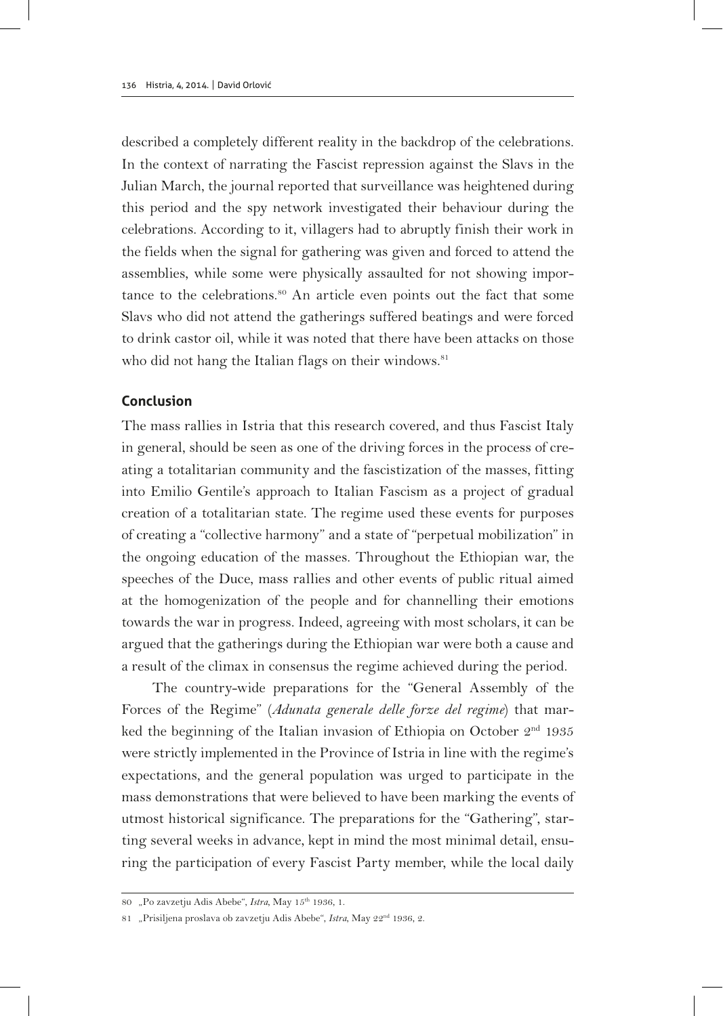described a completely different reality in the backdrop of the celebrations. In the context of narrating the Fascist repression against the Slavs in the Julian March, the journal reported that surveillance was heightened during this period and the spy network investigated their behaviour during the celebrations. According to it, villagers had to abruptly finish their work in the fields when the signal for gathering was given and forced to attend the assemblies, while some were physically assaulted for not showing importance to the celebrations.<sup>80</sup> An article even points out the fact that some Slavs who did not attend the gatherings suffered beatings and were forced to drink castor oil, while it was noted that there have been attacks on those who did not hang the Italian flags on their windows.<sup>81</sup>

## **Conclusion**

The mass rallies in Istria that this research covered, and thus Fascist Italy in general, should be seen as one of the driving forces in the process of creating a totalitarian community and the fascistization of the masses, fitting into Emilio Gentile's approach to Italian Fascism as a project of gradual creation of a totalitarian state. The regime used these events for purposes of creating a "collective harmony" and a state of "perpetual mobilization" in the ongoing education of the masses. Throughout the Ethiopian war, the speeches of the Duce, mass rallies and other events of public ritual aimed at the homogenization of the people and for channelling their emotions towards the war in progress. Indeed, agreeing with most scholars, it can be argued that the gatherings during the Ethiopian war were both a cause and a result of the climax in consensus the regime achieved during the period.

The country-wide preparations for the "General Assembly of the Forces of the Regime" (*Adunata generale delle forze del regime*) that marked the beginning of the Italian invasion of Ethiopia on October  $2<sup>nd</sup>$  1935 were strictly implemented in the Province of Istria in line with the regime's expectations, and the general population was urged to participate in the mass demonstrations that were believed to have been marking the events of utmost historical significance. The preparations for the "Gathering", starting several weeks in advance, kept in mind the most minimal detail, ensuring the participation of every Fascist Party member, while the local daily

<sup>80</sup> "Po zavzetju Adis Abebe", *Istra*, May 15th 1936, 1.

<sup>81</sup> "Prisiljena proslava ob zavzetju Adis Abebe", *Istra*, May 22nd 1936, 2.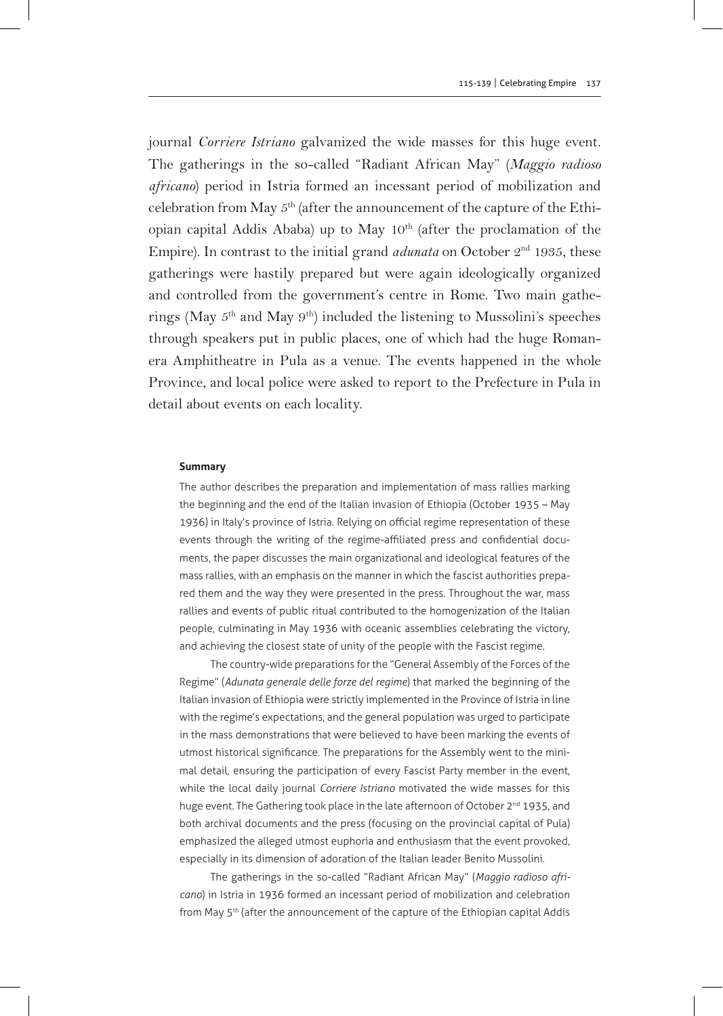journal *Corriere Istriano* galvanized the wide masses for this huge event. The gatherings in the so-called "Radiant African May" (*Maggio radioso africano*) period in Istria formed an incessant period of mobilization and celebration from May 5th (after the announcement of the capture of the Ethiopian capital Addis Ababa) up to May 10<sup>th</sup> (after the proclamation of the Empire). In contrast to the initial grand  $adunata$  on October  $2<sup>nd</sup>$  1935, these gatherings were hastily prepared but were again ideologically organized and controlled from the government's centre in Rome. Two main gatherings (May  $5<sup>th</sup>$  and May  $9<sup>th</sup>$ ) included the listening to Mussolini's speeches through speakers put in public places, one of which had the huge Romanera Amphitheatre in Pula as a venue. The events happened in the whole Province, and local police were asked to report to the Prefecture in Pula in detail about events on each locality.

#### **Summary**

The author describes the preparation and implementation of mass rallies marking the beginning and the end of the Italian invasion of Ethiopia (October 1935 – May 1936) in Italy's province of Istria. Relying on official regime representation of these events through the writing of the regime-affiliated press and confidential documents, the paper discusses the main organizational and ideological features of the mass rallies, with an emphasis on the manner in which the fascist authorities prepared them and the way they were presented in the press. Throughout the war, mass rallies and events of public ritual contributed to the homogenization of the Italian people, culminating in May 1936 with oceanic assemblies celebrating the victory, and achieving the closest state of unity of the people with the Fascist regime.

The country-wide preparations for the "General Assembly of the Forces of the Regime" (*Adunata generale delle forze del regime*) that marked the beginning of the Italian invasion of Ethiopia were strictly implemented in the Province of Istria in line with the regime's expectations, and the general population was urged to participate in the mass demonstrations that were believed to have been marking the events of utmost historical significance. The preparations for the Assembly went to the minimal detail, ensuring the participation of every Fascist Party member in the event, while the local daily journal *Corriere Istriano* motivated the wide masses for this huge event. The Gathering took place in the late afternoon of October 2<sup>nd</sup> 1935, and both archival documents and the press (focusing on the provincial capital of Pula) emphasized the alleged utmost euphoria and enthusiasm that the event provoked, especially in its dimension of adoration of the Italian leader Benito Mussolini.

The gatherings in the so-called "Radiant African May" (*Maggio radioso africano*) in Istria in 1936 formed an incessant period of mobilization and celebration from May 5<sup>th</sup> (after the announcement of the capture of the Ethiopian capital Addis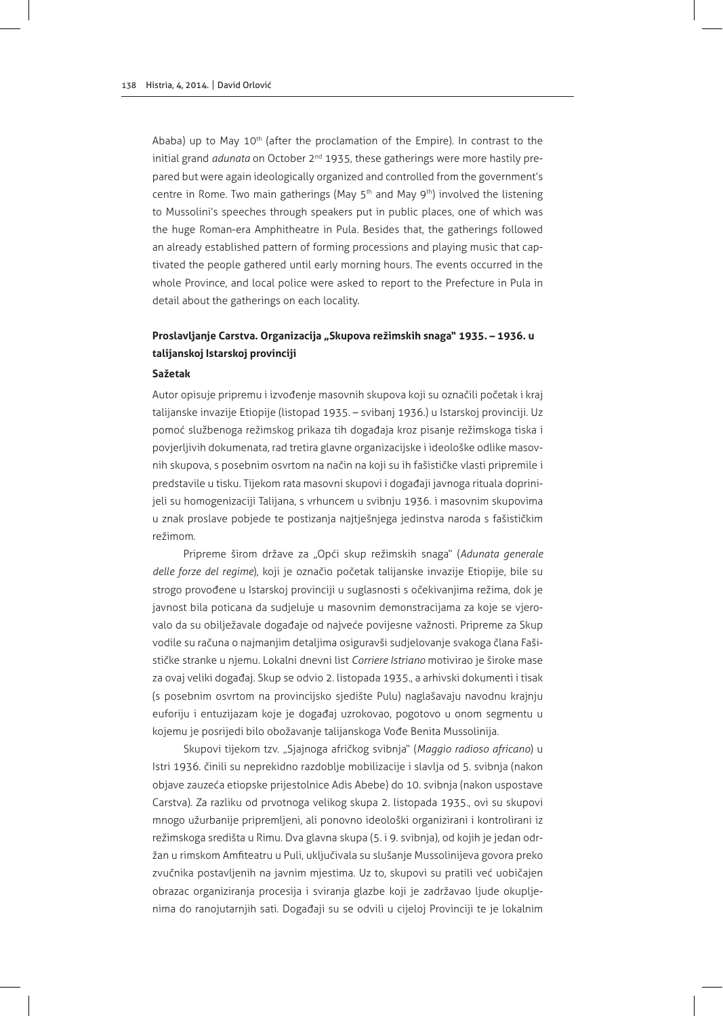Ababa) up to May 10<sup>th</sup> (after the proclamation of the Empire). In contrast to the initial grand *adunata* on October 2<sup>nd</sup> 1935, these gatherings were more hastily prepared but were again ideologically organized and controlled from the government's centre in Rome. Two main gatherings (May  $5<sup>th</sup>$  and May  $9<sup>th</sup>$ ) involved the listening to Mussolini's speeches through speakers put in public places, one of which was the huge Roman-era Amphitheatre in Pula. Besides that, the gatherings followed an already established pattern of forming processions and playing music that captivated the people gathered until early morning hours. The events occurred in the whole Province, and local police were asked to report to the Prefecture in Pula in detail about the gatherings on each locality.

# Proslavljanje Carstva. Organizacija "Skupova režimskih snaga" 1935. – 1936. u **talijanskoj Istarskoj provinciji**

#### **Sažetak**

Autor opisuje pripremu i izvođenje masovnih skupova koji su označili početak i kraj talijanske invazije Etiopije (listopad 1935. – svibanj 1936.) u Istarskoj provinciji. Uz pomoć službenoga režimskog prikaza tih događaja kroz pisanje režimskoga tiska i povjerljivih dokumenata, rad tretira glavne organizacijske i ideološke odlike masovnih skupova, s posebnim osvrtom na način na koji su ih fašističke vlasti pripremile i predstavile u tisku. Tijekom rata masovni skupovi i događaji javnoga rituala doprinijeli su homogenizaciji Talijana, s vrhuncem u svibnju 1936. i masovnim skupovima u znak proslave pobjede te postizanja najtješnjega jedinstva naroda s fašističkim režimom.

Pripreme širom države za "Opći skup režimskih snaga" (*Adunata generale delle forze del regime*), koji je označio početak talijanske invazije Etiopije, bile su strogo provođene u Istarskoj provinciji u suglasnosti s očekivanjima režima, dok je javnost bila poticana da sudjeluje u masovnim demonstracijama za koje se vjerovalo da su obilježavale događaje od najveće povijesne važnosti. Pripreme za Skup vodile su računa o najmanjim detaljima osiguravši sudjelovanje svakoga člana Fašističke stranke u njemu. Lokalni dnevni list *Corriere Istriano* motivirao je široke mase za ovaj veliki događaj. Skup se odvio 2. listopada 1935., a arhivski dokumenti i tisak (s posebnim osvrtom na provincijsko sjedište Pulu) naglašavaju navodnu krajnju euforiju i entuzijazam koje je događaj uzrokovao, pogotovo u onom segmentu u kojemu je posrijedi bilo obožavanje talijanskoga Vođe Benita Mussolinija.

Skupovi tijekom tzv. "Sjajnoga afričkog svibnja" (*Maggio radioso africano*) u Istri 1936. činili su neprekidno razdoblje mobilizacije i slavlja od 5. svibnja (nakon objave zauzeća etiopske prijestolnice Adis Abebe) do 10. svibnja (nakon uspostave Carstva). Za razliku od prvotnoga velikog skupa 2. listopada 1935., ovi su skupovi mnogo užurbanije pripremljeni, ali ponovno ideološki organizirani i kontrolirani iz režimskoga središta u Rimu. Dva glavna skupa (5. i 9. svibnja), od kojih je jedan održan u rimskom Amfiteatru u Puli, uključivala su slušanje Mussolinijeva govora preko zvučnika postavljenih na javnim mjestima. Uz to, skupovi su pratili već uobičajen obrazac organiziranja procesija i sviranja glazbe koji je zadržavao ljude okupljenima do ranojutarnjih sati. Događaji su se odvili u cijeloj Provinciji te je lokalnim